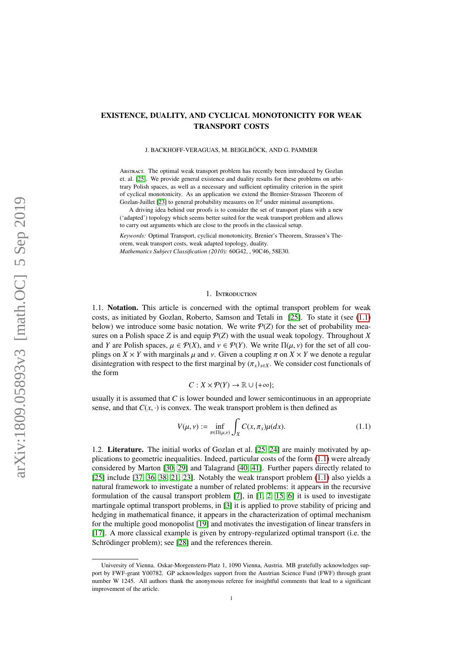# EXISTENCE, DUALITY, AND CYCLICAL MONOTONICITY FOR WEAK TRANSPORT COSTS

#### J. BACKHOFF-VERAGUAS, M. BEIGLBÖCK, AND G. PAMMER

Abstract. The optimal weak transport problem has recently been introduced by Gozlan et. al. [\[25\]](#page-21-0). We provide general existence and duality results for these problems on arbitrary Polish spaces, as well as a necessary and sufficient optimality criterion in the spirit of cyclical monotonicity. As an application we extend the Brenier-Strassen Theorem of Gozlan-Juillet [\[23\]](#page-21-1) to general probability measures on  $\mathbb{R}^d$  under minimal assumptions.

A driving idea behind our proofs is to consider the set of transport plans with a new ('adapted') topology which seems better suited for the weak transport problem and allows to carry out arguments which are close to the proofs in the classical setup.

*Keywords:* Optimal Transport, cyclical monotonicity, Brenier's Theorem, Strassen's Theorem, weak transport costs, weak adapted topology, duality. *Mathematics Subject Classification (2010):* 60G42, , 90C46, 58E30.

## 1. Introduction

1.1. Notation. This article is concerned with the optimal transport problem for weak costs, as initiated by Gozlan, Roberto, Samson and Tetali in [\[25\]](#page-21-0). To state it (see [\(1.1\)](#page-0-0) below) we introduce some basic notation. We write  $P(Z)$  for the set of probability measures on a Polish space *Z* is and equip  $P(Z)$  with the usual weak topology. Throughout *X* and *Y* are Polish spaces,  $\mu \in \mathcal{P}(X)$ , and  $\nu \in \mathcal{P}(Y)$ . We write  $\Pi(\mu, \nu)$  for the set of all couplings on  $X \times Y$  with marginals  $\mu$  and  $\nu$ . Given a coupling  $\pi$  on  $X \times Y$  we denote a regular disintegration with respect to the first marginal by  $(\pi_x)_{x \in X}$ . We consider cost functionals of the form

<span id="page-0-0"></span>
$$
C: X \times \mathcal{P}(Y) \to \mathbb{R} \cup \{+\infty\};
$$

usually it is assumed that *C* is lower bounded and lower semicontinuous in an appropriate sense, and that  $C(x, \cdot)$  is convex. The weak transport problem is then defined as

$$
V(\mu, \nu) := \inf_{\pi \in \Pi(\mu, \nu)} \int_{X} C(x, \pi_x) \mu(dx).
$$
 (1.1)

1.2. Literature. The initial works of Gozlan et al. [\[25,](#page-21-0) [24\]](#page-21-2) are mainly motivated by applications to geometric inequalities. Indeed, particular costs of the form [\(1.1\)](#page-0-0) were already considered by Marton [\[30,](#page-21-3) [29\]](#page-21-4) and Talagrand [\[40,](#page-22-0) [41\]](#page-22-1). Further papers directly related to [\[25\]](#page-21-0) include [\[37,](#page-22-2) [36,](#page-22-3) [38,](#page-22-4) [21,](#page-21-5) [23\]](#page-21-1). Notably the weak transport problem [\(1.1\)](#page-0-0) also yields a natural framework to investigate a number of related problems: it appears in the recursive formulation of the causal transport problem [\[7\]](#page-21-6), in [\[1,](#page-21-7) [2,](#page-21-8) [15,](#page-21-9) [6\]](#page-21-10) it is used to investigate martingale optimal transport problems, in [\[3\]](#page-21-11) it is applied to prove stability of pricing and hedging in mathematical finance, it appears in the characterization of optimal mechanism for the multiple good monopolist [\[19\]](#page-21-12) and motivates the investigation of linear transfers in [\[17\]](#page-21-13). A more classical example is given by entropy-regularized optimal transport (i.e. the Schrödinger problem); see [\[28\]](#page-21-14) and the references therein.

University of Vienna. Oskar-Morgenstern-Platz 1, 1090 Vienna, Austria. MB gratefully acknowledges support by FWF-grant Y00782. GP acknowledges support from the Austrian Science Fund (FWF) through grant number W 1245. All authors thank the anonymous referee for insightful comments that lead to a significant improvement of the article.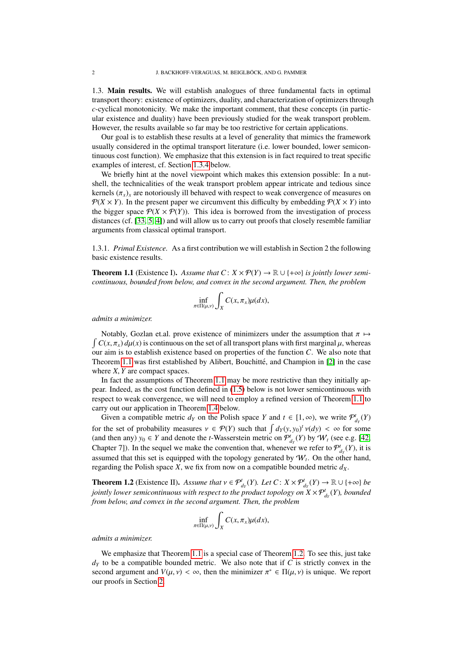1.3. Main results. We will establish analogues of three fundamental facts in optimal transport theory: existence of optimizers, duality, and characterization of optimizers through *c*-cyclical monotonicity. We make the important comment, that these concepts (in particular existence and duality) have been previously studied for the weak transport problem. However, the results available so far may be too restrictive for certain applications.

Our goal is to establish these results at a level of generality that mimics the framework usually considered in the optimal transport literature (i.e. lower bounded, lower semicontinuous cost function). We emphasize that this extension is in fact required to treat specific examples of interest, cf. Section [1.3.4](#page-2-0) below.

We briefly hint at the novel viewpoint which makes this extension possible: In a nutshell, the technicalities of the weak transport problem appear intricate and tedious since kernels  $(\pi_x)_x$  are notoriously ill behaved with respect to weak convergence of measures on  $P(X \times Y)$ . In the present paper we circumvent this difficulty by embedding  $P(X \times Y)$  into the bigger space  $\mathcal{P}(X \times \mathcal{P}(Y))$ . This idea is borrowed from the investigation of process distances (cf. [\[33,](#page-21-15) [5,](#page-21-16) [4\]](#page-21-17)) and will allow us to carry out proofs that closely resemble familiar arguments from classical optimal transport.

1.3.1. *Primal Existence.* As a first contribution we will establish in Section 2 the following basic existence results.

<span id="page-1-0"></span>**Theorem 1.1** (Existence I). Assume that  $C: X \times \mathcal{P}(Y) \rightarrow \mathbb{R} \cup \{+\infty\}$  is jointly lower semi*continuous, bounded from below, and convex in the second argument. Then, the problem*

$$
\inf_{\pi \in \Pi(\mu,\nu)} \int_X C(x,\pi_x) \mu(dx),
$$

*admits a minimizer.*

 $\int C(x, \pi_x) d\mu(x)$  is continuous on the set of all transport plans with first marginal  $\mu$ , whereas Notably, Gozlan et.al. prove existence of minimizers under the assumption that  $\pi \mapsto$ our aim is to establish existence based on properties of the function *C*. We also note that Theorem [1.1](#page-1-0) was first established by Alibert, Bouchitté, and Champion in [\[2\]](#page-21-8) in the case where *<sup>X</sup>*, *<sup>Y</sup>* are compact spaces.

In fact the assumptions of Theorem [1.1](#page-1-0) may be more restrictive than they initially appear. Indeed, as the cost function defined in [\(1.5\)](#page-2-1) below is not lower semicontinuous with respect to weak convergence, we will need to employ a refined version of Theorem [1.1](#page-1-0) to carry out our application in Theorem [1.4](#page-2-2) below.

Given a compatible metric  $d_Y$  on the Polish space *Y* and  $t \in [1, \infty)$ , we write  $\mathcal{P}^t_{d_Y}(Y)$ for the set of probability measures  $v \in \mathcal{P}(Y)$  such that  $\int d_Y(y, y_0)^t v(dy) < \infty$  for some (and then any)  $y_0 \in Y$  and denote the t Wasserstein metric on  $\mathcal{P}^t(Y)$  by  $\mathcal{P}^t(Y)$  (see e.g. 142) (and then any)  $y_0 \in Y$  and denote the *t*-Wasserstein metric on  $\mathcal{P}_{d_Y}^t(Y)$  by  $\mathcal{W}_t$  (see e.g. [\[42,](#page-22-5) Chapter 7]). In the sequel we make the convention that, whenever we refer to  $\mathcal{P}^t_{d_Y}(Y)$ , it is assumed that this set is equipped with the topology generated by  $W_t$ . On the other hand, regarding the Polish space *X*, we fix from now on a compatible bounded metric  $d_X$ .

<span id="page-1-1"></span>**Theorem 1.2** (Existence II). Assume that  $v \in \mathcal{P}_{d_Y}^t(Y)$ . Let  $C: X \times \mathcal{P}_{d_Y}^t(Y) \to \mathbb{R} \cup \{+\infty\}$  be injuring terminant in your semicontinuous with respect to the product tenglacy on  $X \times \mathcal{P}_{d_Y}^t(Y)$ , hounded *jointly lower semicontinuous with respect to the product topology on*  $X\times \mathcal{P}_{d_Y}^t(Y)$ *, bounded from below, and convex in the second argument. Then, the problem*

$$
\inf_{\pi \in \Pi(\mu,\nu)} \int_X C(x,\pi_x) \mu(dx),
$$

*admits a minimizer.*

We emphasize that Theorem [1.1](#page-1-0) is a special case of Theorem [1.2.](#page-1-1) To see this, just take  $d<sub>Y</sub>$  to be a compatible bounded metric. We also note that if *C* is strictly convex in the second argument and  $V(\mu, \nu) < \infty$ , then the minimizer  $\pi^* \in \Pi(\mu, \nu)$  is unique. We report our proofs in Section 2 our proofs in Section [2.](#page-3-0)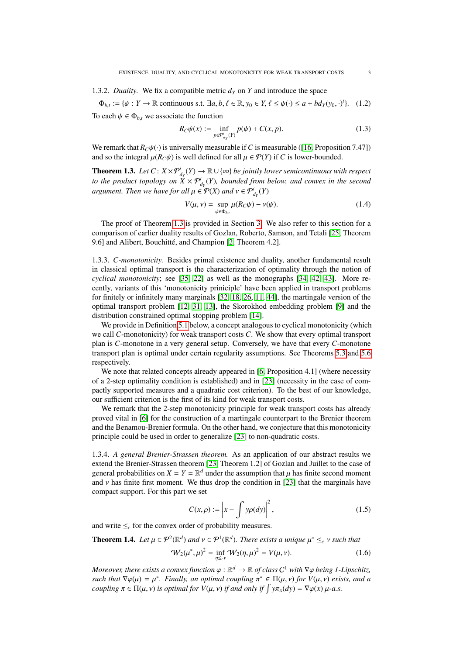## 1.3.2. *Duality*. We fix a compatible metric  $d<sub>Y</sub>$  on *Y* and introduce the space

 $\Phi_{b,t} := \{\psi : Y \to \mathbb{R} \text{ continuous s.t. } \exists a, b, \ell \in \mathbb{R}, y_0 \in Y, \ell \leq \psi(\cdot) \leq a + bd_Y(y_0, \cdot)^t\}.$  (1.2) To each  $\psi \in \Phi_{b,t}$  we associate the function

$$
R_C \psi(x) := \inf_{p \in \mathcal{P}_{d_Y}^{\prime}(Y)} p(\psi) + C(x, p). \tag{1.3}
$$

We remark that  $R_C\psi(\cdot)$  is universally measurable if *C* is measurable ([\[16,](#page-21-18) Proposition 7.47]) and so the integral  $\mu(R_C\psi)$  is well defined for all  $\mu \in \mathcal{P}(Y)$  if *C* is lower-bounded.

<span id="page-2-3"></span>**Theorem 1.3.** *Let*  $C: X \times \mathcal{P}_{d_Y}^t(Y) \to \mathbb{R} \cup \{\infty\}$  *be jointly lower semicontinuous with respect to the product topology on*  $\dot{X} \times \mathcal{P}^t_{d_Y}(Y)$ , bounded from below, and convex in the second *argument. Then we have for all*  $\mu \in \mathcal{P}(X)$  *and*  $\nu \in \mathcal{P}^t_{d_Y}(Y)$ 

$$
V(\mu, \nu) = \sup_{\psi \in \Phi_{b,t}} \mu(R_C \psi) - \nu(\psi). \tag{1.4}
$$

The proof of Theorem [1.3](#page-2-3) is provided in Section [3.](#page-9-0) We also refer to this section for a comparison of earlier duality results of Gozlan, Roberto, Samson, and Tetali [\[25,](#page-21-0) Theorem 9.6] and Alibert, Bouchitté, and Champion [\[2,](#page-21-8) Theorem 4.2].

1.3.3. *C-monotonicity.* Besides primal existence and duality, another fundamental result in classical optimal transport is the characterization of optimality through the notion of *cyclical monotonicity*; see [\[35,](#page-22-6) [22\]](#page-21-19) as well as the monographs [\[34,](#page-22-7) [42,](#page-22-5) [43\]](#page-22-8). More recently, variants of this 'monotonicity priniciple' have been applied in transport problems for finitely or infinitely many marginals [\[32,](#page-21-20) [18,](#page-21-21) [26,](#page-21-22) [11,](#page-21-23) [44\]](#page-22-9), the martingale version of the optimal transport problem [\[12,](#page-21-24) [31,](#page-21-25) [13\]](#page-21-26), the Skorokhod embedding problem [\[9\]](#page-21-27) and the distribution constrained optimal stopping problem [\[14\]](#page-21-28).

We provide in Definition [5.1](#page-12-0) below, a concept analogous to cyclical monotonicity (which we call *C*-monotonicity) for weak transport costs *C*. We show that every optimal transport plan is *C*-monotone in a very general setup. Conversely, we have that every *C*-monotone transport plan is optimal under certain regularity assumptions. See Theorems [5.3](#page-12-1) and [5.6](#page-15-0) respectively.

We note that related concepts already appeared in [\[6,](#page-21-10) Proposition 4.1] (where necessity of a 2-step optimality condition is established) and in [\[23\]](#page-21-1) (necessity in the case of compactly supported measures and a quadratic cost criterion). To the best of our knowledge, our sufficient criterion is the first of its kind for weak transport costs.

We remark that the 2-step monotonicity principle for weak transport costs has already proved vital in [\[6\]](#page-21-10) for the construction of a martingale counterpart to the Brenier theorem and the Benamou-Brenier formula. On the other hand, we conjecture that this monotonicity principle could be used in order to generalize [\[23\]](#page-21-1) to non-quadratic costs.

<span id="page-2-0"></span>1.3.4. *A general Brenier-Strassen theorem.* As an application of our abstract results we extend the Brenier-Strassen theorem [\[23,](#page-21-1) Theorem 1.2] of Gozlan and Juillet to the case of general probabilities on  $X = Y = \mathbb{R}^d$  under the assumption that  $\mu$  has finite second moment<br>and *y* has finite first moment. We thus drop the condition in [23] that the marginals have and  $\nu$  has finite first moment. We thus drop the condition in [\[23\]](#page-21-1) that the marginals have compact support. For this part we set

<span id="page-2-4"></span><span id="page-2-1"></span>
$$
C(x,\rho) := \left| x - \int y\rho(dy) \right|^2, \tag{1.5}
$$

and write  $\leq_c$  for the convex order of probability measures.

<span id="page-2-2"></span>**Theorem 1.4.** Let 
$$
\mu \in \mathcal{P}^2(\mathbb{R}^d)
$$
 and  $\nu \in \mathcal{P}^1(\mathbb{R}^d)$ . There exists a unique  $\mu^* \leq_c \nu$  such that  
\n
$$
W_2(\mu^*, \mu)^2 = \inf_{\eta \leq_c \nu} W_2(\eta, \mu)^2 = V(\mu, \nu).
$$
\n(1.6)

*Moreover, there exists a convex function*  $\varphi : \mathbb{R}^d \to \mathbb{R}$  *of class*  $C^1$  *with*  $\nabla \varphi$  *being 1-Lipschitz,*<br>such that  $\nabla \varphi(u) = u^*$  Finally, an optimal coupling  $\pi^* \in \Pi(u, y)$  for  $V(u, y)$  exists, and a *such that*  $\nabla \varphi(\mu) = \mu^*$ . *Finally, an optimal coupling*  $\pi^* \in \Pi(\mu, \nu)$  *for*  $V(\mu, \nu)$  *exists, and a* coupling  $\pi \in \Pi(\mu, \nu)$  is optimal for  $V(\mu, \nu)$  if and only if  $\int \sqrt{\pi} \, d\nu = \nabla \varphi(x) \mu - \alpha$  s *coupling*  $\pi \in \Pi(\mu, \nu)$  *is optimal for*  $V(\mu, \nu)$  *if and only if*  $\int y \pi_x(dy) = \nabla \varphi(x) \mu$ -a.s.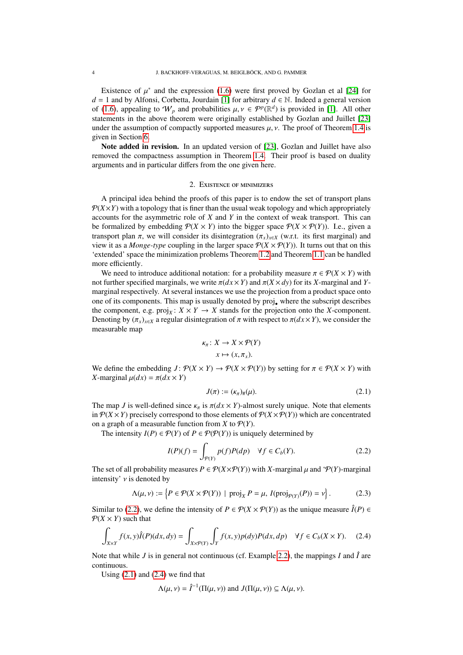Existence of  $\mu^*$  and the expression [\(1.6\)](#page-2-4) were first proved by Gozlan et al [\[24\]](#page-21-2) for 1 and by Alfonsi Corbetta Jourdain [1] for arbitrary  $d \in \mathbb{N}$  Indeed a general version *d* = 1 and by Alfonsi, Corbetta, Jourdain [\[1\]](#page-21-7) for arbitrary  $d \in \mathbb{N}$ . Indeed a general version of [\(1.6\)](#page-2-4), appealing to  $W_p$  and probabilities  $\mu, \nu \in \mathcal{P}^p(\mathbb{R}^d)$  is provided in [\[1\]](#page-21-7). All other<br>statements in the above theorem were originally established by Gozlan and Juillet [23] statements in the above theorem were originally established by Gozlan and Juillet [\[23\]](#page-21-1) under the assumption of compactly supported measures  $\mu$ ,  $\nu$ . The proof of Theorem [1.4](#page-2-2) is given in Section [6.](#page-19-0)

Note added in revision. In an updated version of [\[23\]](#page-21-1), Gozlan and Juillet have also removed the compactness assumption in Theorem [1.4.](#page-2-2) Their proof is based on duality arguments and in particular differs from the one given here.

## 2. Existence of minimizers

<span id="page-3-0"></span>A principal idea behind the proofs of this paper is to endow the set of transport plans  $P(X \times Y)$  with a topology that is finer than the usual weak topology and which appropriately accounts for the asymmetric role of *X* and *Y* in the context of weak transport. This can be formalized by embedding  $\mathcal{P}(X \times Y)$  into the bigger space  $\mathcal{P}(X \times \mathcal{P}(Y))$ . I.e., given a transport plan  $\pi$ , we will consider its disintegration  $(\pi_x)_{x \in X}$  (w.r.t. its first marginal) and view it as a *Monge-type* coupling in the larger space  $P(X \times P(Y))$ . It turns out that on this 'extended' space the minimization problems Theorem [1.2](#page-1-1) and Theorem [1.1](#page-1-0) can be handled more efficiently.

We need to introduce additional notation: for a probability measure  $\pi \in \mathcal{P}(X \times Y)$  with not further specified marginals, we write  $\pi(dx \times Y)$  and  $\pi(X \times dy)$  for its *X*-marginal and *Y*marginal respectively. At several instances we use the projection from a product space onto one of its components. This map is usually denoted by proj. where the subscript describes the component, e.g.  $proj_X$ :  $X \times Y \rightarrow X$  stands for the projection onto the *X*-component. Denoting by  $(\pi_x)_{x\in X}$  a regular disintegration of  $\pi$  with respect to  $\pi(dx\times Y)$ , we consider the measurable map

$$
\kappa_{\pi}: X \to X \times \mathcal{P}(Y)
$$

$$
x \mapsto (x, \pi_x).
$$

We define the embedding  $J: \mathcal{P}(X \times Y) \to \mathcal{P}(X \times \mathcal{P}(Y))$  by setting for  $\pi \in \mathcal{P}(X \times Y)$  with *X*-marginal  $\mu(dx) = \pi(dx \times Y)$ 

<span id="page-3-3"></span><span id="page-3-2"></span><span id="page-3-1"></span>
$$
J(\pi) := (\kappa_{\pi})_{\#}(\mu). \tag{2.1}
$$

The map *J* is well-defined since  $\kappa_{\pi}$  is  $\pi(dx \times Y)$ -almost surely unique. Note that elements in  $P(X \times Y)$  precisely correspond to those elements of  $P(X \times P(Y))$  which are concentrated on a graph of a measurable function from *X* to  $P(Y)$ .

The intensity  $I(P) \in \mathcal{P}(Y)$  of  $P \in \mathcal{P}(\mathcal{P}(Y))$  is uniquely determined by

$$
I(P)(f) = \int_{P(Y)} p(f)P(dp) \quad \forall f \in C_b(Y). \tag{2.2}
$$

The set of all probability measures  $P \in \mathcal{P}(X \times \mathcal{P}(Y))$  with X-marginal  $\mu$  and ' $\mathcal{P}(Y)$ -marginal intensity'  $\nu$  is denoted by

$$
\Lambda(\mu, \nu) := \left\{ P \in \mathcal{P}(X \times \mathcal{P}(Y)) \mid \text{proj}_X P = \mu, I(\text{proj}_{\mathcal{P}(Y)}(P)) = \nu \right\}.
$$
 (2.3)

Similar to [\(2.2\)](#page-3-1), we define the intensity of  $P \in \mathcal{P}(X \times \mathcal{P}(Y))$  as the unique measure  $\hat{I}(P) \in$  $P(X \times Y)$  such that

$$
\int_{X\times Y} f(x, y)\hat{I}(P)(dx, dy) = \int_{X\times P(Y)} \int_Y f(x, y)p(dy)P(dx, dp) \quad \forall f \in C_b(X \times Y). \tag{2.4}
$$

Note that while *J* is in general not continuous (cf. Example [2.2\)](#page-4-0), the mappings *I* and  $\hat{I}$  are continuous.

Using  $(2.1)$  and  $(2.4)$  we find that

$$
\Lambda(\mu, \nu) = \hat{I}^{-1}(\Pi(\mu, \nu)) \text{ and } J(\Pi(\mu, \nu)) \subseteq \Lambda(\mu, \nu).
$$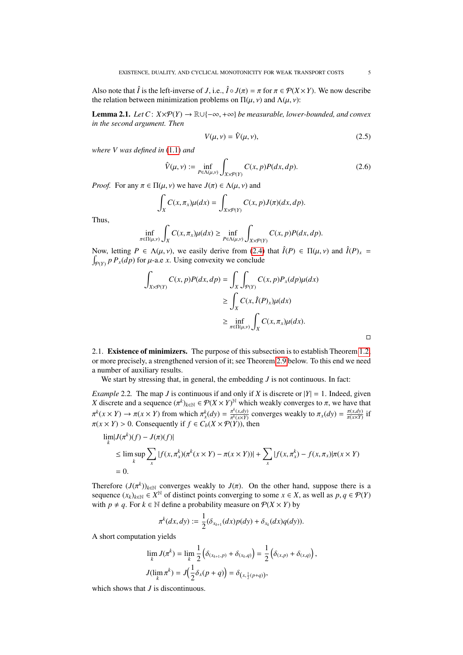Also note that  $\hat{I}$  is the left-inverse of *J*, i.e.,  $\hat{I} \circ J(\pi) = \pi$  for  $\pi \in \mathcal{P}(X \times Y)$ . We now describe the relation between minimization problems on  $\Pi(\mu, \nu)$  and  $\Lambda(\mu, \nu)$ :

<span id="page-4-2"></span>**Lemma 2.1.** *Let*  $C: X \times \mathcal{P}(Y) \rightarrow \mathbb{R} \cup \{-\infty, +\infty\}$  *be measurable, lower-bounded, and convex in the second argument. Then*

<span id="page-4-1"></span>
$$
V(\mu, \nu) = \hat{V}(\mu, \nu),\tag{2.5}
$$

*where V was defined in* [\(1.1\)](#page-0-0) *and*

$$
\hat{V}(\mu, \nu) := \inf_{P \in \Lambda(\mu, \nu)} \int_{X \times \mathcal{P}(Y)} C(x, p) P(dx, dp). \tag{2.6}
$$

*Proof.* For any  $\pi \in \Pi(u, v)$  we have  $J(\pi) \in \Lambda(u, v)$  and

$$
\int_X C(x,\pi_x)\mu(dx) = \int_{X\times \mathcal{P}(Y)} C(x,p)J(\pi)(dx,dp).
$$

Thus,

$$
\inf_{\pi \in \Pi(\mu,\nu)} \int_X C(x,\pi_x) \mu(dx) \ge \inf_{P \in \Lambda(\mu,\nu)} \int_{X \times P(Y)} C(x,p) P(dx,dp).
$$

Now, letting  $P \in \Lambda(\mu, \nu)$ , we easily derive from [\(2.4\)](#page-3-3) that  $\hat{I}(P) \in \Pi(\mu, \nu)$  and  $\hat{I}(P)_x = \int_{\mathbb{R}} P(f(x))$  for  $\mu, g \in \mathcal{F}$ . Using convexity we conclude  $\int_{P(Y)} p P_x(dp)$  for  $\mu$ -a.e *x*. Using convexity we conclude

$$
\int_{X \times \mathcal{P}(Y)} C(x, p) P(dx, dp) = \int_X \int_{\mathcal{P}(Y)} C(x, p) P_x(dp) \mu(dx)
$$
  
\n
$$
\geq \int_X C(x, \hat{I}(P)_x) \mu(dx)
$$
  
\n
$$
\geq \inf_{\pi \in \Pi(\mu, v)} \int_X C(x, \pi_x) \mu(dx).
$$

2.1. Existence of minimizers. The purpose of this subsection is to establish Theorem [1.2,](#page-1-1) or more precisely, a strengthened version of it; see Theorem [2.9](#page-8-0) below. To this end we need a number of auxiliary results.

We start by stressing that, in general, the embedding *J* is not continuous. In fact:

<span id="page-4-0"></span>*Example* 2.2. The map *J* is continuous if and only if *X* is discrete or  $|Y| = 1$ . Indeed, given *X* discrete and a sequence ( $\pi$  $k_{k \in \mathbb{N}} \in \mathcal{P}(X \times Y)^{\mathbb{N}}$  which weakly converges to  $\pi$ , we have that  $\pi^k(A) = \pi^k(A) = \pi^k(A)$ π  $\pi^k(x \times Y) \to \pi(x \times Y)$  from which  $\pi^k_x(dy) = \frac{\pi^k(x, dy)}{\pi^k(x \times Y)}$  converges weakly to  $\pi_x(dy) = \frac{\pi(x, dy)}{\pi(x \times Y)}$  if  $\pi(x \times Y) > 0$ . Consequently if  $f \in C_b(X \times \mathcal{P}(Y))$ , then

$$
\lim_{k} |J(\pi^{k})(f) - J(\pi)(f)|
$$
\n
$$
\leq \limsup_{k} \sum_{x} |f(x, \pi^{k}_{x})(\pi^{k}(x \times Y) - \pi(x \times Y))| + \sum_{x} |f(x, \pi^{k}_{x}) - f(x, \pi_{x})|\pi(x \times Y)|
$$
\n
$$
= 0.
$$

Therefore  $(J(\pi^k))_{k \in \mathbb{N}}$  converges weakly to  $J(\pi)$ . On the other hand, suppose there is a sequence  $(x_k)_{k \in \mathbb{N}} \in \mathbb{R}^{\mathbb{N}}$  of distinct points converging to some  $x \in X$  as well as  $n, a \in \mathcal{D}(Y)$ sequence  $(x_k)_{k \in \mathbb{N}} \in \mathbb{X}^{\mathbb{N}}$  of distinct points converging to some  $x \in X$ , as well as  $p, q \in \mathcal{P}(Y)$ <br>with  $p \neq q$ . For  $k \in \mathbb{N}$  define a probability measure on  $\mathcal{P}(X \times Y)$  by with  $p \neq q$ . For  $k \in \mathbb{N}$  define a probability measure on  $\mathcal{P}(X \times Y)$  by

$$
\pi^k(dx,dy) := \frac{1}{2}(\delta_{x_{k+1}}(dx)p(dy) + \delta_{x_k}(dx)q(dy)).
$$

A short computation yields

$$
\lim_{k} J(\pi^{k}) = \lim_{k} \frac{1}{2} \left( \delta_{(x_{k+1}, p)} + \delta_{(x_{k}, q)} \right) = \frac{1}{2} \left( \delta_{(x, p)} + \delta_{(x, q)} \right),
$$
  

$$
J(\lim_{k} \pi^{k}) = J\left( \frac{1}{2} \delta_{x}(p+q) \right) = \delta_{(x, \frac{1}{2}(p+q))},
$$

which shows that *J* is discontinuous.

 $\Box$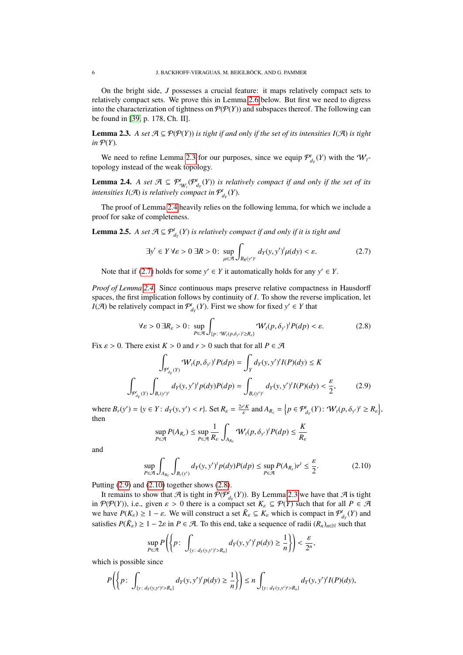On the bright side, *J* possesses a crucial feature: it maps relatively compact sets to relatively compact sets. We prove this in Lemma [2.6](#page-7-0) below. But first we need to digress into the characterization of tightness on  $P(P(Y))$  and subspaces thereof. The following can be found in [\[39,](#page-22-10) p. 178, Ch. II].

<span id="page-5-0"></span>**Lemma 2.3.** A set  $\mathcal{A} \subseteq \mathcal{P}(\mathcal{P}(Y))$  *is tight if and only if the set of its intensities I(A) is tight*  $in \mathcal{P}(Y)$ .

We need to refine Lemma [2.3](#page-5-0) for our purposes, since we equip  $\mathcal{P}^t_{d_Y}(Y)$  with the  $W_t$ topology instead of the weak topology.

<span id="page-5-1"></span>**Lemma 2.4.** *A set*  $\mathcal{A} \subseteq \mathcal{P}_{W_t}^t(\mathcal{P}_{d_Y}^t(Y))$  *is relatively compact if and only if the set of its* intensities  $I(\mathcal{A})$  is relatively compact in  $\mathcal{P}^t_{d_Y}(Y)$ .

The proof of Lemma [2.4](#page-5-1) heavily relies on the following lemma, for which we include a proof for sake of completeness.

<span id="page-5-6"></span>**Lemma 2.5.** *A set*  $\mathcal{A} \subseteq \mathcal{P}^t_{d_Y}(Y)$  *is relatively compact if and only if it is tight and* 

<span id="page-5-2"></span>
$$
\exists y' \in Y \forall \varepsilon > 0 \ \exists R > 0 \colon \sup_{\mu \in \mathcal{A}} \int_{B_R(y')^c} d_Y(y, y')^t \mu(dy) < \varepsilon. \tag{2.7}
$$

Note that if [\(2.7\)](#page-5-2) holds for some  $y' \in Y$  it automatically holds for any  $y' \in Y$ .

*Proof of Lemma [2.4.](#page-5-1)* Since continuous maps preserve relative compactness in Hausdorff spaces, the first implication follows by continuity of *I*. To show the reverse implication, let *I*( $\mathcal{A}$ ) be relatively compact in  $\mathcal{P}^t_{d_Y}(Y)$ . First we show for fixed  $y' \in Y$  that

<span id="page-5-5"></span>
$$
\forall \varepsilon > 0 \, \exists R_{\varepsilon} > 0: \sup_{P \in \mathcal{A}} \int_{\{p: \, \mathcal{W}_t(p,\delta_{y'}) \ge R_{\varepsilon}\}} \mathcal{W}_t(p,\delta_{y'})^t P(dp) < \varepsilon. \tag{2.8}
$$

Fix  $\varepsilon > 0$ . There exist  $K > 0$  and  $r > 0$  such that for all  $P \in \mathcal{A}$ 

$$
\int_{\mathcal{P}_{d_Y}^i(Y)} \mathcal{W}_t(p, \delta_{y'})^t P(dp) = \int_Y d_Y(y, y')^t I(P)(dy) \le K
$$
\n
$$
\int_{\mathcal{P}_{d_Y}^i(Y)} \int_{B_r(y')^c} d_Y(y, y')^t p(dy) P(dp) = \int_{B_r(y')^c} d_Y(y, y')^t I(P)(dy) < \frac{\varepsilon}{2},
$$
\n(2.9)

where  $B_r(y') = \{y \in Y : d_Y(y, y') < r\}$ . Set  $R_{\varepsilon} = \frac{2r'K}{\varepsilon}$  and  $A_{R_{\varepsilon}} = \{p \in \mathcal{P}_{d_Y}^t(Y) : \mathcal{W}_t(p, \delta_{y'})^t \ge R_{\varepsilon}\}\$ , then

<span id="page-5-4"></span><span id="page-5-3"></span>
$$
\sup_{P \in \mathcal{A}} P(A_{R_{\varepsilon}}) \leq \sup_{P \in \mathcal{A}} \frac{1}{R_{\varepsilon}} \int_{A_{R_{\varepsilon}}} \mathcal{W}_t(p, \delta_{y'})^t P(dp) \leq \frac{K}{R_{\varepsilon}}
$$

and

$$
\sup_{P \in \mathcal{A}} \int_{A_{R_{\varepsilon}}} \int_{B_r(y')} d_Y(y, y')^t p(dy) P(dp) \le \sup_{P \in \mathcal{A}} P(A_{R_{\varepsilon}}) r^t \le \frac{\varepsilon}{2}.
$$
 (2.10)

Putting [\(2.9\)](#page-5-3) and [\(2.10\)](#page-5-4) together shows [\(2.8\)](#page-5-5).

It remains to show that  $\mathcal A$  is tight in  $\mathcal P(P^t_{d_Y}(Y))$ . By Lemma [2.3](#page-5-0) we have that  $\mathcal A$  is tight in  $\mathcal{P}(\mathcal{P}(Y))$ , i.e., given  $\varepsilon > 0$  there is a compact set  $K_{\varepsilon} \subseteq \mathcal{P}(Y)$  such that for all  $P \in \mathcal{A}$ we have  $P(K_{\varepsilon}) \ge 1 - \varepsilon$ . We will construct a set  $\tilde{K}_{\varepsilon} \subseteq K_{\varepsilon}$  which is compact in  $\mathcal{P}_{d_{\varepsilon}}^{t}(Y)$  and estimates  $P(\tilde{\varepsilon}) > 1 - 2\varepsilon$  in  $P \in \mathcal{A}$ . To this and take a sequence of radii  $(P_{\varepsilon})$  and th satisfies  $P(\tilde{K}_{\varepsilon}) \geq 1 - 2\varepsilon$  in  $P \in \mathcal{A}$ . To this end, take a sequence of radii  $(R_n)_{n \in \mathbb{N}}$  such that

$$
\sup_{P\in\mathcal{A}}P\left(\left\{p\colon\int_{\{y\colon d_Y(y,y')>R_n\}}d_Y(y,y')^t p(dy)\geq\frac{1}{n}\right\}\right)<\frac{\varepsilon}{2^n},
$$

which is possible since

$$
P\left(\left\{p\colon\int_{\{y\colon d_Y(y,y')>R_n\}}d_Y(y,y')^tp(dy)\geq\frac{1}{n}\right\}\right)\leq n\int_{\{y\colon d_Y(y,y')>R_n\}}d_Y(y,y')^tI(P)(dy),
$$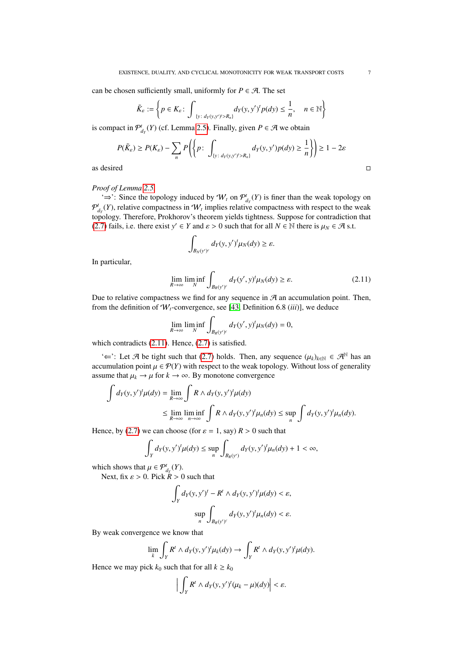can be chosen sufficiently small, uniformly for  $P \in \mathcal{A}$ . The set

$$
\tilde{K}_{\varepsilon} := \left\{ p \in K_{\varepsilon} \colon \int_{\{y:\ d_Y(y,y') > R_n\}} d_Y(y,y')^t p(dy) \leq \frac{1}{n}, \quad n \in \mathbb{N} \right\}
$$

is compact in  $\mathcal{P}^t_{d_Y}(Y)$  (cf. Lemma [2.5\)](#page-5-6). Finally, given  $P \in \mathcal{A}$  we obtain

$$
P(\tilde{K}_{\varepsilon}) \ge P(K_{\varepsilon}) - \sum_{n} P\left(\left\{p \colon \int_{\{y \colon d_Y(y, y') > R_n\}} d_Y(y, y') p(dy) \ge \frac{1}{n}\right\}\right) \ge 1 - 2\varepsilon
$$
\nas desired

# *Proof of Lemma [2.5.](#page-5-6)*

'⇒': Since the topology induced by  $W_t$  on  $\mathcal{P}^t_{d_Y}(Y)$  is finer than the weak topology on  $\mathcal{P}_{d_Y}^t(Y)$ , relative compactness in  $\mathcal{W}_t$  implies relative compactness with respect to the weak topology. Therefore, Prokhorov's theorem yields tightness. Suppose for contradiction that [\(2.7\)](#page-5-2) fails, i.e. there exist *y*'  $\in$  *Y* and  $\varepsilon$  > 0 such that for all  $N \in \mathbb{N}$  there is  $\mu_N \in \mathcal{A}$  s.t.

<span id="page-6-0"></span>
$$
\int_{B_N(y')^c} d_Y(y, y')^t \mu_N(dy) \geq \varepsilon.
$$

In particular,

$$
\lim_{R \to \infty} \liminf_{N} \int_{B_R(y')^c} d_Y(y', y)^t \mu_N(dy) \ge \varepsilon.
$$
 (2.11)

Due to relative compactness we find for any sequence in  $A$  an accumulation point. Then, from the definition of  $W_t$ -convergence, see [\[43,](#page-22-8) Definition 6.8 *(iii)*], we deduce

$$
\lim_{R\to\infty}\liminf_N\int_{B_R(y')^c}d_Y(y',y)^t\mu_N(dy)=0,
$$

which contradicts  $(2.11)$ . Hence,  $(2.7)$  is satisfied.

' $\Leftarrow$ ': Let A be tight such that [\(2.7\)](#page-5-2) holds. Then, any sequence  $(\mu_k)_{k \in \mathbb{N}}$  ∈ A<sup>N</sup> has an accumulation point  $\mu \in \mathcal{P}(Y)$  with respect to the weak topology. Without loss of generality assume that  $\mu_k \to \mu$  for  $k \to \infty$ . By monotone convergence

$$
\int d_Y(y, y')^t \mu(dy) = \lim_{R \to \infty} \int R \wedge d_Y(y, y')^t \mu(dy)
$$
  
\n
$$
\leq \lim_{R \to \infty} \liminf_{n \to \infty} \int R \wedge d_Y(y, y')^t \mu_n(dy) \leq \sup_n \int d_Y(y, y')^t \mu_n(dy).
$$

Hence, by [\(2.7\)](#page-5-2) we can choose (for  $\varepsilon = 1$ , say)  $R > 0$  such that

$$
\int_Y d_Y(y, y')^t \mu(dy) \le \sup_n \int_{B_R(y')} d_Y(y, y')^t \mu_n(dy) + 1 < \infty,
$$

which shows that  $\mu \in \mathcal{P}_{d_Y}^t(Y)$ .<br>Next fix  $c > 0$  Pick  $R > 0$ .

Next, fix  $\varepsilon > 0$ . Pick  $R > 0$  such that

$$
\int_{Y} d_{Y}(y, y')^{t} - R^{t} \wedge d_{Y}(y, y')^{t} \mu(dy) < \varepsilon,
$$
  

$$
\sup_{n} \int_{B_{R}(y')^{c}} d_{Y}(y, y')^{t} \mu_{n}(dy) < \varepsilon.
$$

By weak convergence we know that

$$
\lim_{k} \int_{Y} R^{t} \wedge d_{Y}(y, y')^{t} \mu_{k}(dy) \rightarrow \int_{Y} R^{t} \wedge d_{Y}(y, y')^{t} \mu(dy).
$$

Hence we may pick  $k_0$  such that for all  $k \geq k_0$ 

$$
\Big|\int_Y R^t \wedge d_Y(y, y')^t (\mu_k - \mu)(dy)\Big| < \varepsilon.
$$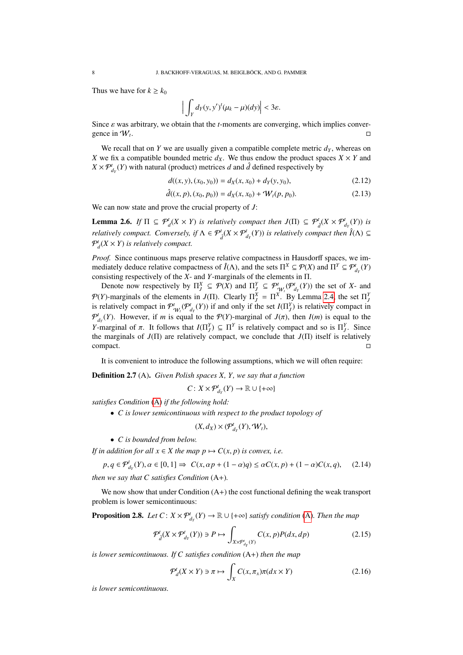Thus we have for  $k \geq k_0$ 

$$
\Big|\int_Y d_Y(y, y')^t (\mu_k - \mu)(dy)\Big| < 3\varepsilon.
$$

Since  $\varepsilon$  was arbitrary, we obtain that the *t*-moments are converging, which implies convergence in  $W_t$ . . In the second contract of the second contract of the second contract of the second contract of the second co<br>In the second contract of the second contract of the second contract of the second contract of the second cont

We recall that on *Y* we are usually given a compatible complete metric  $d<sub>Y</sub>$ , whereas on *X* we fix a compatible bounded metric  $d_X$ . We thus endow the product spaces  $X \times Y$  and  $X \times \mathcal{P}^t_{d_Y}(Y)$  with natural (product) metrices *d* and  $\hat{d}$  defined respectively by

$$
d((x, y), (x_0, y_0)) = d_X(x, x_0) + d_Y(y, y_0),
$$
\n(2.12)

$$
\hat{d}((x, p), (x_0, p_0)) = d_X(x, x_0) + W_t(p, p_0).
$$
\n(2.13)

We can now state and prove the crucial property of *J*:

<span id="page-7-0"></span>**Lemma 2.6.** *If*  $\Pi \subseteq \mathcal{P}_d^t(X \times Y)$  *is relatively compact then*  $J(\Pi) \subseteq \mathcal{P}_d^t(X \times \mathcal{P}_{d_Y}^t(Y))$  *is relatively compact. Conversely, if*  $\Lambda \in \mathcal{P}_d^t(X \times \mathcal{P}_{d_Y}^t(Y))$  *is relatively compact then*  $\hat{I}(\Lambda) \subseteq$  $P_d^t(X \times Y)$  is relatively compact.

*Proof.* Since continuous maps preserve relative compactness in Hausdorff spaces, we immediately deduce relative compactness of  $\hat{I}(\Lambda)$ , and the sets  $\Pi^X \subseteq \mathcal{P}(X)$  and  $\Pi^Y \subseteq \mathcal{P}^t_{d_Y}(Y)$ consisting respectively of the *X*- and *Y*-marginals of the elements in Π.

Denote now respectively by  $\Pi_j^X \subseteq \mathcal{P}(X)$  and  $\Pi_j^Y \subseteq \mathcal{P}_{\mathcal{W}_j}^t(\mathcal{P}_{d_Y}^t(Y))$  the set of *X*- and  $\mathcal{P}(Y)$ -marginals of the elements in  $J(\Pi)$ . Clearly  $\Pi_j^X = \Pi^X$ . By Lemma [2.4,](#page-5-1) the set  $\Pi_j^Y$ is relatively compact in  $\mathcal{P}_{W_l}^t(\mathcal{P}_{d_Y}^t(Y))$  if and only if the set  $I(\Pi_j^Y)$  is relatively compact in  $\mathcal{P}_{d_Y}^t(Y)$ . However, if *m* is equal to the  $\mathcal{P}(Y)$ -marginal of  $J(\pi)$ , then  $I(m)$  is equal to the  $Y$  marginal of  $\pi$ . It follows that  $I(\Pi^Y) \subset \Pi^Y$  is relatively compact and so is  $\Pi^Y$ . Since *Y*-marginal of  $\pi$ . It follows that  $I(\Pi_f^Y) \subseteq \Pi^Y$  is relatively compact and so is  $\Pi_f^Y$ . Since the marginals of  $I(\Pi)$  are relatively compact we conclude that  $I(\Pi)$  itself is relatively the marginals of *J*(Π) are relatively compact, we conclude that *J*(Π) itself is relatively compact.

It is convenient to introduce the following assumptions, which we will often require:

<span id="page-7-1"></span>Definition 2.7 (A). *Given Polish spaces X, Y, we say that a function*

$$
C\colon X\times \mathcal{P}^t_{d_Y}(Y)\to \mathbb{R}\cup\{+\infty\}
$$

*satisfies Condition* [\(A\)](#page-7-1) *if the following hold:*

• *C is lower semicontinuous with respect to the product topology of*

$$
(X,d_X)\times(\mathcal{P}^t_{d_Y}(Y),\mathcal{W}_t),
$$

• *C is bounded from below.*

*If in addition for all*  $x \in X$  *the map*  $p \mapsto C(x, p)$  *is convex, i.e.* 

$$
p, q \in \mathcal{P}_{d_Y}^t(Y), \alpha \in [0, 1] \Rightarrow C(x, \alpha p + (1 - \alpha)q) \le \alpha C(x, p) + (1 - \alpha)C(x, q), \quad (2.14)
$$

*then we say that C satisfies Condition* (A+)*.*

We now show that under Condition  $(A+)$  the cost functional defining the weak transport problem is lower semicontinuous:

<span id="page-7-4"></span>**Proposition 2.8.** *Let*  $C: X \times \mathcal{P}_{d_Y}^t(Y) \to \mathbb{R} \cup \{+\infty\}$  *satisfy condition* [\(A\)](#page-7-1). Then the map

$$
\mathcal{P}_d^t(X \times \mathcal{P}_{d_Y}^t(Y)) \ni P \mapsto \int_{X \times \mathcal{P}_{d_Y}^t(Y)} C(x, p) P(dx, dp) \tag{2.15}
$$

*is lower semicontinuous. If C satisfies condition* (A+) *then the map*

<span id="page-7-3"></span><span id="page-7-2"></span>
$$
\mathcal{P}_d^t(X \times Y) \ni \pi \mapsto \int_X C(x, \pi_x) \pi(dx \times Y) \tag{2.16}
$$

*is lower semicontinuous.*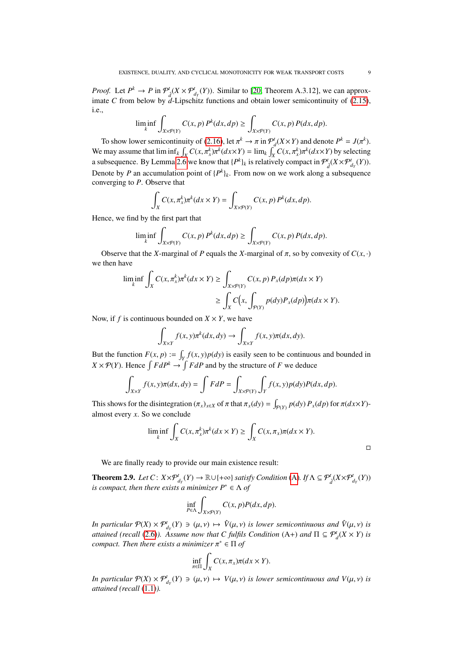*Proof.* Let  $P^k \to P$  in  $\mathcal{P}^t_{\hat{d}}(X \times \mathcal{P}^t_{d_Y}(Y))$ . Similar to [\[20,](#page-21-29) Theorem A.3.12], we can approximate *C* from below by  $d$ -Lipschitz functions and obtain lower semicontinuity of [\(2.15\)](#page-7-2), i.e.,

$$
\liminf_k \int_{X\times \mathcal P(Y)} C(x,p) \, P^k(dx,dp) \geq \int_{X\times \mathcal P(Y)} C(x,p) \, P(dx,dp).
$$

To show lower semicontinuity of [\(2.16\)](#page-7-3), let  $\pi^k \to \pi$  in  $\mathcal{P}_d^t(X \times Y)$  and denote  $P^k = J(\pi^k)$ . We may assume that  $\liminf_k \int_X C(x, \pi_X^k) \pi^k(dx \times Y) = \lim_k \int_X C(x, \pi_X^k) \pi^k(dx \times Y)$  by selecting a subsequence. By Lemma [2.6](#page-7-0) we know that  $\{P^k\}_k$  is relatively compact in  $\mathcal{P}_d^t(X \times \mathcal{P}_{d_Y}^t(Y))$ . Denote by *P* an accumulation point of  $\{P^k\}_k$ . From now on we work along a subsequence converging to *P*. Observe that

$$
\int_X C(x,\pi^k_x)\pi^k(dx\times Y) = \int_{X\times \mathcal{P}(Y)} C(x,p) P^k(dx,dp).
$$

Hence, we find by the first part that

$$
\liminf_{k} \int_{X \times \mathcal{P}(Y)} C(x, p) P^{k}(dx, dp) \ge \int_{X \times \mathcal{P}(Y)} C(x, p) P(dx, dp).
$$

Observe that the *X*-marginal of *P* equals the *X*-marginal of  $\pi$ , so by convexity of  $C(x, \cdot)$ we then have

$$
\liminf_{k} \int_{X} C(x, \pi_{x}^{k}) \pi^{k}(dx \times Y) \ge \int_{X \times \mathcal{P}(Y)} C(x, p) P_{x}(dp) \pi(dx \times Y)
$$

$$
\ge \int_{X} C\left(x, \int_{\mathcal{P}(Y)} p(dy) P_{x}(dp)\right) \pi(dx \times Y).
$$

Now, if *f* is continuous bounded on  $X \times Y$ , we have

$$
\int_{X\times Y} f(x, y)\pi^k(dx, dy) \to \int_{X\times Y} f(x, y)\pi(dx, dy).
$$

But the function  $F(x, p) := \int_Y f(x, y)p(dy)$  is easily seen to be continuous and bounded in  $X \times \mathcal{P}(Y)$ . Hence  $\int FdP^k \to \int FdP$  and by the structure of *F* we deduce

$$
\int_{X\times Y} f(x, y)\pi(dx, dy) = \int FdP = \int_{X\times P(Y)} \int_Y f(x, y)p(dy)P(dx, dp).
$$

This shows for the disintegration  $(\pi_x)_{x \in X}$  of  $\pi$  that  $\pi_x(dy) = \int_{\mathcal{P}(Y)} p(dy) P_x(dp)$  for  $\pi(dx \times Y)$ -<br>almost every  $x$ . So we conclude almost every *x*. So we conclude

$$
\liminf_{k} \int_{X} C(x, \pi_{x}^{k}) \pi^{k}(dx \times Y) \geq \int_{X} C(x, \pi_{x}) \pi(dx \times Y).
$$

 $\Box$ 

We are finally ready to provide our main existence result:

<span id="page-8-0"></span>**Theorem 2.9.** *Let*  $C: X \times \mathcal{P}_{d_Y}^t(Y) \to \mathbb{R} \cup \{+\infty\}$  *satisfy Condition* [\(A\)](#page-7-1)*. If*  $\Lambda \subseteq \mathcal{P}_d^t(X \times \mathcal{P}_{d_Y}^t(Y))$ *is compact, then there exists a minimizer*  $P^* \in \Lambda$  *of* 

$$
\inf_{P \in \Lambda} \int_{X \times \mathcal{P}(Y)} C(x, p) P(dx, dp).
$$

*In particular*  $\mathcal{P}(X) \times \mathcal{P}_{d_Y}^t(Y) \ni (\mu, \nu) \mapsto \hat{V}(\mu, \nu)$  *is lower semicontinuous and*  $\hat{V}(\mu, \nu)$  *is attained (xecall (2.6) Assume now that C fulfils Condition (A.)* and  $\Pi \subseteq \mathcal{P}^t(X \times Y)$  is *attained (recall [\(2.6\)](#page-4-1)). Assume now that C fulfils Condition (A+) and*  $\Pi \subseteq \mathcal{P}_d^t(X \times Y)$  *is compact. Then there exists a minimizer* π <sup>∗</sup> ∈ Π *of*

$$
\inf_{\pi \in \Pi} \int_X C(x, \pi_x) \pi(dx \times Y).
$$

*In particular*  $\mathcal{P}(X) \times \mathcal{P}_{d_Y}^t(Y) \ni (\mu, v) \mapsto V(\mu, v)$  *is lower semicontinuous and*  $V(\mu, v)$  *is attained (recall (1.1)) attained (recall* [\(1.1\)](#page-0-0)*).*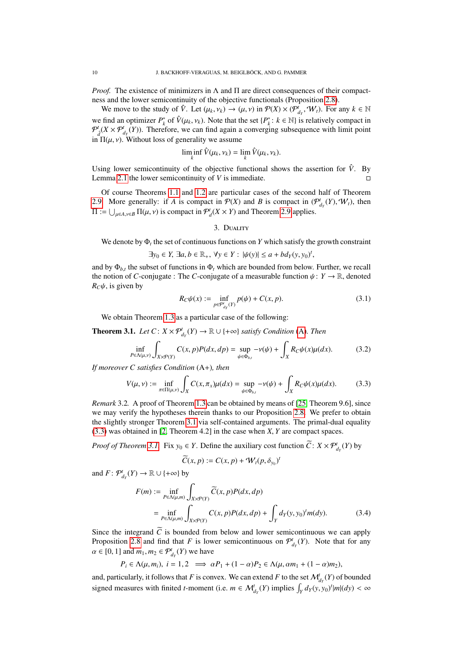*Proof.* The existence of minimizers in  $\Lambda$  and  $\Pi$  are direct consequences of their compactness and the lower semicontinuity of the objective functionals (Proposition [2.8\)](#page-7-4).

We move to the study of  $\hat{V}$ . Let  $(\mu_k, \nu_k) \to (\mu, \nu)$  in  $\mathcal{P}(X) \times (\mathcal{P}_{d_Y}^i, \mathcal{W}_t)$ . For any  $k \in \mathbb{N}$ we find an optimizer  $P_k^*$  of  $\hat{V}(\mu_k, \nu_k)$ . Note that the set  $\{P_k^*: k \in \mathbb{N}\}\$  is relatively compact in  $\mathcal{P}^l(X \times \mathcal{P}^l(Y))$ . Therefore, we can find again a converging subsequence with limit point  $\mathcal{P}_{d}^{t}(X \times \mathcal{P}_{d_{Y}}^{t}(Y))$ . Therefore, we can find again a converging subsequence with limit point in  $\Pi(\mu, \nu)$ . Without loss of generality we assume

$$
\liminf_{k} \hat{V}(\mu_k, \nu_k) = \lim_{k} \hat{V}(\mu_k, \nu_k).
$$

Using lower semicontinuity of the objective functional shows the assertion for  $\hat{V}$ . By Lemma [2.1](#page-4-2) the lower semicontinuity of *V* is immediate.

Of course Theorems [1.1](#page-1-0) and [1.2](#page-1-1) are particular cases of the second half of Theorem [2.9.](#page-8-0) More generally: if *A* is compact in  $\mathcal{P}(X)$  and *B* is compact in  $(\mathcal{P}^t_{d_Y}(Y), \mathcal{W}_t)$ , then  $\Pi := \bigcup_{\mu \in A, \nu \in B} \Pi(\mu, \nu)$  is compact in  $\mathcal{P}_d^t(X \times Y)$  and Theorem [2.9](#page-8-0) applies.

## <span id="page-9-5"></span>3. Duality

<span id="page-9-0"></span>We denote by  $\Phi_t$  the set of continuous functions on *Y* which satisfy the growth constraint

$$
\exists y_0 \in Y, \exists a, b \in \mathbb{R}_+, \forall y \in Y : |\psi(y)| \le a + bd_Y(y, y_0)^t,
$$

and by  $\Phi_{b,t}$  the subset of functions in  $\Phi_t$  which are bounded from below. Further, we recall the potion of *C* conjugate  $\Phi$ . The *C* conjugate of a magnumble function  $\mathcal{H} \to \mathbb{R}$ , denoted the notion of *C*-conjugate : The *C*-conjugate of a measurable function  $\psi: Y \to \mathbb{R}$ , denoted  $R_C \psi$ , is given by

<span id="page-9-4"></span>
$$
R_C \psi(x) := \inf_{p \in \mathcal{P}_{d_Y}^t(Y)} p(\psi) + C(x, p).
$$
 (3.1)

We obtain Theorem [1.3](#page-2-3) as a particular case of the following:

<span id="page-9-1"></span>**Theorem 3.1.** *Let*  $C: X \times \mathcal{P}_{d_Y}^t(Y) \to \mathbb{R} \cup \{+\infty\}$  *satisfy Condition* [\(A\)](#page-7-1). *Then* 

$$
\inf_{P \in \Lambda(\mu,\nu)} \int_{X \times \mathcal{P}(Y)} C(x,p)P(dx,dp) = \sup_{\psi \in \Phi_{b,t}} -\nu(\psi) + \int_X R_C \psi(x)\mu(dx). \tag{3.2}
$$

*If moreover C satisfies Condition* (A+)*, then*

$$
V(\mu, \nu) := \inf_{\pi \in \Pi(\mu, \nu)} \int_X C(x, \pi_x) \mu(dx) = \sup_{\psi \in \Phi_{b,t}} -\nu(\psi) + \int_X R_C \psi(x) \mu(dx). \tag{3.3}
$$

*Remark* 3.2*.* A proof of Theorem [1.3](#page-2-3) can be obtained by means of [\[25,](#page-21-0) Theorem 9.6], since we may verify the hypotheses therein thanks to our Proposition [2.8.](#page-7-4) We prefer to obtain the slightly stronger Theorem [3.1](#page-9-1) via self-contained arguments. The primal-dual equality [\(3.3\)](#page-9-2) was obtained in [\[2,](#page-21-8) Theorem 4.2] in the case when *<sup>X</sup>*, *<sup>Y</sup>* are compact spaces.

*Proof of Theorem [3.1.](#page-9-1)* Fix  $y_0 \in Y$ . Define the auxiliary cost function  $\widetilde{C}$ :  $X \times \mathcal{P}^t_{d_Y}(Y)$  by

<span id="page-9-3"></span><span id="page-9-2"></span>
$$
\widetilde{C}(x,p):=C(x,p)+\mathcal{W}_t(p,\delta_{y_0})^t
$$

and  $F: \mathcal{P}^t_{d_Y}(Y) \to \mathbb{R} \cup \{+\infty\}$  by

$$
F(m) := \inf_{P \in \Lambda(\mu,m)} \int_{X \times P(Y)} \widetilde{C}(x, p) P(dx, dp)
$$
  
= 
$$
\inf_{P \in \Lambda(\mu,m)} \int_{X \times P(Y)} C(x, p) P(dx, dp) + \int_{Y} d_{Y}(y, y_{0})^t m(dy).
$$
 (3.4)

Since the integrand  $\tilde{C}$  is bounded from below and lower semicontinuous we can apply Proposition [2.8](#page-7-4) and find that *F* is lower semicontinuous on  $\mathcal{P}^t_{d_Y}(Y)$ . Note that for any  $\alpha \in [0, 1]$  and  $m_1, m_2 \in \mathcal{P}^t_{d_Y}(Y)$  we have

$$
P_i \in \Lambda(\mu, m_i), i = 1, 2 \implies \alpha P_1 + (1 - \alpha) P_2 \in \Lambda(\mu, \alpha m_1 + (1 - \alpha) m_2),
$$

and, particularly, it follows that *F* is convex. We can extend *F* to the set  $\mathcal{M}_{d_Y}^t(Y)$  of bounded signed measures with finited *t*-moment (i.e.  $m \in M_{d_Y}^t(Y)$  implies  $\int_Y d_Y(y, y_0)^t |m| (dy) < \infty$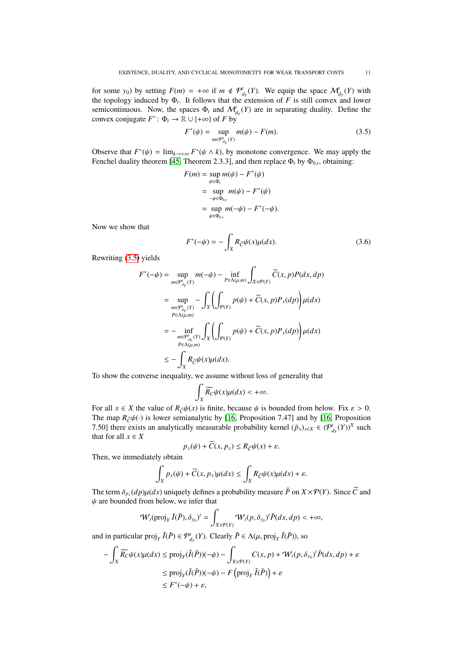for some *y*<sub>0</sub>) by setting  $F(m) = +\infty$  if  $m \notin \mathcal{P}_{d_Y}^t(Y)$ . We equip the space  $\mathcal{M}_{d_Y}^t(Y)$  with the topology induced by Φ*<sup>t</sup>* . It follows that the extension of *F* is still convex and lower semicontinuous. Now, the spaces  $\Phi_t$  and  $\mathcal{M}_{d_Y}^t(Y)$  are in separating duality. Define the convex conjugate  $F^*$ :  $\Phi_t \to \mathbb{R} \cup \{+\infty\}$  of *F* by

<span id="page-10-0"></span>
$$
F^*(\psi) = \sup_{m \in \mathcal{P}'_{d_Y}(Y)} m(\psi) - F(m). \tag{3.5}
$$

Observe that  $F^*(\psi) = \lim_{k \to +\infty} F^*(\psi \wedge k)$ , by monotone convergence. We may apply the Fenchel duality theorem [45] Theorem 2.3.31, and then replace  $\Phi$ , by  $\Phi$ . obtaining: Fenchel duality theorem [\[45,](#page-22-11) Theorem 2.3.3], and then replace  $\Phi_t$  by  $\Phi_{b,t}$ , obtaining:

$$
F(m) = \sup_{\psi \in \Phi_t} m(\psi) - F^*(\psi)
$$
  
= 
$$
\sup_{-\psi \in \Phi_{b,t}} m(\psi) - F^*(\psi)
$$
  
= 
$$
\sup_{\psi \in \Phi_{b,t}} m(-\psi) - F^*(-\psi).
$$

Now we show that

<span id="page-10-1"></span>
$$
F^*(-\psi) = -\int_X R_{\overline{C}}\psi(x)\mu(dx). \tag{3.6}
$$

Rewriting [\(3.5\)](#page-10-0) yields

$$
F^*(-\psi) = \sup_{m \in \mathcal{P}_{d_Y}^i(Y)} m(-\psi) - \inf_{P \in \Lambda(\mu,m)} \int_{X \times \mathcal{P}(Y)} \widetilde{C}(x, p) P(dx, dp)
$$
  
\n
$$
= \sup_{m \in \mathcal{P}_{d_Y}^i(Y)} - \int_X \left( \int_{\mathcal{P}(Y)} p(\psi) + \widetilde{C}(x, p) P_x(dp) \right) \mu(dx)
$$
  
\n
$$
= - \inf_{\substack{m \in \mathcal{P}_{d_Y}^i(Y) \\ P \in \Lambda(\mu,m)}} \int_X \left( \int_{\mathcal{P}(Y)} p(\psi) + \widetilde{C}(x, p) P_x(dp) \right) \mu(dx)
$$
  
\n
$$
\leq - \int_X R_{\widetilde{C}} \psi(x) \mu(dx).
$$

To show the converse inequality, we assume without loss of generality that

$$
\int_X \widetilde{R_C}\psi(x)\mu(dx) < +\infty.
$$

For all  $x \in X$  the value of  $R_{\tilde{C}}\psi(x)$  is finite, because  $\psi$  is bounded from below. Fix  $\varepsilon > 0$ . The map  $R_{\tilde{C}}\psi(\cdot)$  is lower semianalytic by [\[16,](#page-21-18) Proposition 7.47] and by [16, Proposition 7.50] there exists an analytically measurable probability kernel  $(\tilde{p}_x)_{x \in X} \in (\mathcal{P}^t_{d_Y}(Y))^X$  such that for all  $x \in X$ 

$$
p_x(\psi) + \overline{C}(x, p_x) \le R_{\overline{C}} \psi(x) + \varepsilon.
$$

Then, we immediately obtain

$$
\int_X p_x(\psi) + \widetilde{C}(x, p_x)\mu(dx) \le \int_X R_{\widetilde{C}}\psi(x)\mu(dx) + \varepsilon.
$$

The term  $\delta_{p_x}(dp)\mu(dx)$  uniquely defines a probability measure  $\tilde{P}$  on  $X \times \mathcal{P}(Y)$ . Since  $\tilde{C}$  and  $\mu$  are bounded from below, we infer that  $\psi$  are bounded from below, we infer that

$$
\mathcal{W}_t(\text{proj}_Y \hat{I}(\tilde{P}), \delta_{y_0})^t = \int_{X \times \mathcal{P}(Y)} \mathcal{W}_t(p, \delta_{y_0})^t \tilde{P}(dx, dp) < +\infty,
$$

and in particular  $proj_Y \hat{I}(\tilde{P}) \in \mathcal{P}^t_{d_Y}(Y)$ . Clearly  $\tilde{P} \in \Lambda(\mu, \text{proj}_Y \hat{I}(\tilde{P}))$ , so

$$
-\int_{X} \widetilde{R_{C}} \psi(x) \mu(dx) \le \text{proj}_{Y}(\hat{I}(\tilde{P}))(-\psi) - \int_{X \times \mathcal{P}(Y)} C(x, p) + W_{t}(p, \delta_{y_{0}})^{t} \tilde{P}(dx, dp) + \varepsilon
$$
  

$$
\le \text{proj}_{Y}(\hat{I}(\tilde{P}))(-\psi) - F(\text{proj}_{Y} \hat{I}(\tilde{P})) + \varepsilon
$$
  

$$
\le F^{*}(-\psi) + \varepsilon,
$$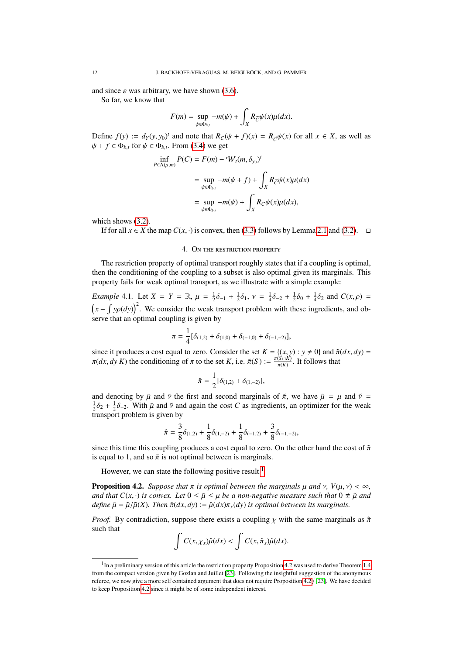and since  $\varepsilon$  was arbitrary, we have shown [\(3.6\)](#page-10-1).

So far, we know that

$$
F(m) = \sup_{\psi \in \Phi_{b,t}} -m(\psi) + \int_X R_{\overline{C}} \psi(x) \mu(dx).
$$

Define *f*(*y*) :=  $d_Y(y, y_0)^t$  and note that  $R_C(\psi + f)(x) = R_{\overline{C}}\psi(x)$  for all  $x \in X$ , as well as  $d\mu + f \in \Phi$ . for  $\psi \in \Phi$ . From (3.4) we get  $\psi + f \in \Phi_{b,t}$  for  $\psi \in \Phi_{b,t}$ . From [\(3.4\)](#page-9-3) we get

$$
\inf_{P \in \Lambda(\mu,m)} P(C) = F(m) - W_t(m, \delta_{y_0})^t
$$
  
= 
$$
\sup_{\psi \in \Phi_{b,t}} -m(\psi + f) + \int_X R_{\widetilde{C}} \psi(x) \mu(dx)
$$
  
= 
$$
\sup_{\psi \in \Phi_{b,t}} -m(\psi) + \int_X R_C \psi(x) \mu(dx),
$$

which shows  $(3.2)$ .

If for all *x* ∈ *X* the map  $C(x, \cdot)$  is convex, then [\(3.3\)](#page-9-2) follows by Lemma [2.1](#page-4-2) and [\(3.2\)](#page-9-4).  $\Box$ 

## 4. On the restriction property

The restriction property of optimal transport roughly states that if a coupling is optimal, then the conditioning of the coupling to a subset is also optimal given its marginals. This property fails for weak optimal transport, as we illustrate with a simple example:

*Example* 4.1*.* Let  $X = Y = \mathbb{R}$ ,  $\mu = \frac{1}{2}\delta_{-1} + \frac{1}{2}\delta_1$ ,  $\nu = \frac{1}{4}\delta_{-2} + \frac{1}{2}\delta_0 + \frac{1}{4}\delta_2$  and  $C(x, \rho) =$  $(x - \int y\rho(dy))^2$ . We consider the weak transport problem with these ingredients, and observe that an optimal coupling is given by

$$
\pi = \frac{1}{4} [\delta_{(1,2)} + \delta_{(1,0)} + \delta_{(-1,0)} + \delta_{(-1,-2)}],
$$

since it produces a cost equal to zero. Consider the set  $K = \{(x, y) : y \neq 0\}$  and  $\tilde{\pi}(dx, dy)$  $\pi(dx, dy|K)$  the conditioning of  $\pi$  to the set  $K$ , i.e.  $\tilde{\pi}(S) := \frac{\pi(S \cap K)}{\pi(K)}$  $\frac{(S \cap K)}{\pi(K)}$ . It follows that

$$
\tilde{\pi} = \frac{1}{2} [\delta_{(1,2)} + \delta_{(1,-2)}],
$$

and denoting by  $\tilde{\mu}$  and  $\tilde{\nu}$  the first and second marginals of  $\tilde{\pi}$ , we have  $\tilde{\mu} = \mu$  and  $\tilde{\nu} =$  $\frac{1}{2}\delta_2 + \frac{1}{2}\delta_{-2}$ . With  $\tilde{\mu}$  and  $\tilde{\nu}$  and again the cost *C* as ingredients, an optimizer for the weak transport problem is given by

$$
\hat{\pi} = \frac{3}{8}\delta_{(1,2)} + \frac{1}{8}\delta_{(1,-2)} + \frac{1}{8}\delta_{(-1,2)} + \frac{3}{8}\delta_{(-1,-2)},
$$

since this time this coupling produces a cost equal to zero. On the other hand the cost of  $\tilde{\pi}$ is equal to 1, and so  $\tilde{\pi}$  is not optimal between is marginals.

However, we can state the following positive result.<sup>[1](#page-11-0)</sup>

<span id="page-11-1"></span>**Proposition 4.2.** *Suppose that*  $\pi$  *is optimal between the marginals*  $\mu$  *and*  $\nu$ *,*  $V(\mu, \nu) < \infty$ *, and that*  $C(x, \cdot)$  *is convex. Let*  $0 \leq \tilde{\mu} \leq \mu$  *be a non-negative measure such that*  $0 \neq \tilde{\mu}$  *and define*  $\hat{\mu} = \tilde{\mu}/\tilde{\mu}(X)$ *. Then*  $\hat{\pi}(dx, dy) := \hat{\mu}(dx)\pi_x(dy)$  *is optimal between its marginals.* 

*Proof.* By contradiction, suppose there exists a coupling  $\chi$  with the same marginals as  $\hat{\pi}$ such that

$$
\int C(x,\chi_x)\hat{\mu}(dx) < \int C(x,\hat{\pi}_x)\hat{\mu}(dx).
$$

<span id="page-11-0"></span><sup>&</sup>lt;sup>1</sup>In a preliminary version of this article the restriction property Proposition [4.2](#page-11-1) was used to derive Theorem [1.4](#page-2-2) from the compact version given by Gozlan and Juillet [\[23\]](#page-21-1). Following the insightful suggestion of the anonymous referee, we now give a more self contained argument that does not require Proposition [4.2](#page-11-1) / [\[23\]](#page-21-1). We have decided to keep Proposition [4.2](#page-11-1) since it might be of some independent interest.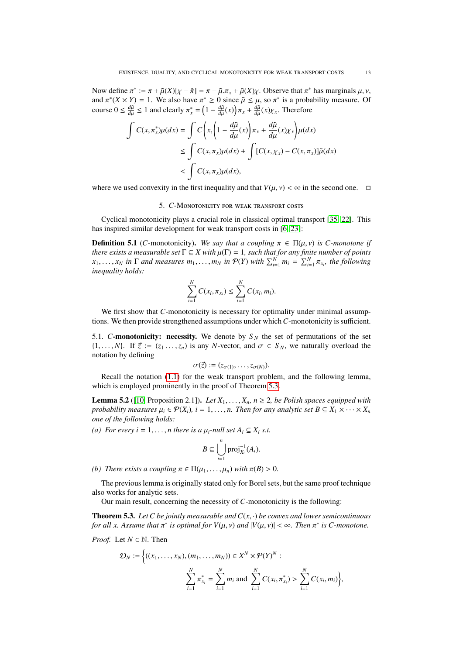Now define  $\pi^* := \pi + \tilde{\mu}(X)[\chi - \hat{\pi}] = \pi - \tilde{\mu}.\pi_x + \tilde{\mu}(X)\chi$ . Observe that  $\pi^*$  has marginals  $\mu, \nu$ , and  $\pi^*(X \times Y) = 1$ . We also have  $\pi^* > 0$  since  $\tilde{\mu} \le \mu$  so  $\pi^*$  is a probability measure. Of and  $\pi^*(X \times Y) = 1$ . We also have  $\pi^* \ge 0$  since  $\tilde{\mu} \le \mu$ , so  $\pi^*$  is a probability measure. Of course  $0 \le \frac{d\tilde{\mu}}{\mu} \le 1$  and clearly  $\pi^* = (1 - \frac{d\tilde{\mu}}{\mu}(\kappa)) \pi + \frac{d\tilde{\mu}}{\mu}(\kappa)$ . Therefore course  $0 \leq \frac{d\tilde{\mu}}{du}$  $\frac{d\tilde{\mu}}{d\mu} \le 1$  and clearly  $\pi_x^* = \left(1 - \frac{d\tilde{\mu}}{d\mu}\right)$  $\frac{d\tilde{\mu}}{d\mu}(x)\bigg) \pi_x + \frac{d\tilde{\mu}}{d\mu}$  $\frac{d\mu}{d\mu}(x)\chi_x$ . Therefore

$$
\int C(x, \pi_x^*) \mu(dx) = \int C\left(x, \left(1 - \frac{d\tilde{\mu}}{d\mu}(x)\right) \pi_x + \frac{d\tilde{\mu}}{d\mu}(x)\chi_x\right) \mu(dx)
$$
  
\n
$$
\leq \int C(x, \pi_x) \mu(dx) + \int [C(x, \chi_x) - C(x, \pi_x)] \tilde{\mu}(dx)
$$
  
\n
$$
< \int C(x, \pi_x) \mu(dx),
$$

where we used convexity in the first inequality and that  $V(\mu, \nu) < \infty$  in the second one.  $\Box$ 

#### 5. *C*-Monotonicity for weak transport costs

Cyclical monotonicity plays a crucial role in classical optimal transport [\[35,](#page-22-6) [22\]](#page-21-19). This has inspired similar development for weak transport costs in [\[6,](#page-21-10) [23\]](#page-21-1):

<span id="page-12-0"></span>**Definition 5.1** (*C*-monotonicity). *We say that a coupling*  $\pi \in \Pi(\mu, \nu)$  *is C-monotone if there exists a measurable set*  $\Gamma \subseteq X$  *with*  $\mu(\Gamma) = 1$ *, such that for any finite number of points there exists a measurable set*  $\Gamma \subseteq X$  *with*  $\mu(\Gamma) = 1$ *, such that for any finite number of points*<br>*r*. *r. in*  $\Gamma$  *and measures m. m. in*  $\mathcal{P}(Y)$  *with*  $\sum^{N}$  *m.*  $-\sum^{N}$  *π*, *the following*  $x_1, \ldots, x_N$  in  $\Gamma$  and measures  $m_1, \ldots, m_N$  in  $\mathcal{P}(Y)$  with  $\sum_{i=1}^N m_i = \sum_{i=1}^N \pi_{x_i}$ , the following inequality holds: *inequality holds:*

$$
\sum_{i=1}^N C(x_i, \pi_{x_i}) \leq \sum_{i=1}^N C(x_i, m_i).
$$

We first show that *C*-monotonicity is necessary for optimality under minimal assumptions. We then provide strengthened assumptions under which *C*-monotonicity is sufficient.

5.1. *C*-monotonicity: necessity. We denote by  $S_N$  the set of permutations of the set  $\{1, \ldots, N\}$ . If  $\vec{z} := (z_1 \ldots, z_n)$  is any *N*-vector, and  $\sigma \in S_N$ , we naturally overload the notation by defining

$$
\sigma(\vec{z}) := (z_{\sigma(1)}, \ldots, z_{\sigma(N)}).
$$

 $\sigma(\vec{z}) := (z_{\sigma(1)}, \dots, z_{\sigma(N)})$ .<br>Recall the notation [\(1.1\)](#page-0-0) for the weak transport problem, and the following lemma, which is employed prominently in the proof of Theorem [5.3.](#page-12-1)

<span id="page-12-2"></span>**Lemma 5.2** ([\[10,](#page-21-30) Proposition 2.1]). *Let*  $X_1, \ldots, X_n$ ,  $n \ge 2$ , *be Polish spaces equipped with probability measures*  $\mu_i \in \mathcal{P}(X_i)$ ,  $i = 1, \ldots, n$ . Then for any analytic set  $B \subseteq X_1 \times \cdots \times X_n$ *one of the following holds:*

*(a) For every i* = 1, ..., *n* there is a  $\mu_i$ -null set  $A_i \subseteq X_i$  s.t.

$$
B\subseteq \bigcup_{i=1}^n \text{proj}_{X_i}^{-1}(A_i).
$$

*(b) There exists a coupling*  $\pi \in \Pi(\mu_1, \ldots, \mu_n)$  *with*  $\pi(B) > 0$ *.* 

The previous lemma is originally stated only for Borel sets, but the same proof technique also works for analytic sets.

Our main result, concerning the necessity of *C*-monotonicity is the following:

<span id="page-12-1"></span>**Theorem 5.3.** Let C be jointly measurable and  $C(x, \cdot)$  be convex and lower semicontinuous *for all x. Assume that*  $\pi^*$  *is optimal for*  $V(\mu, \nu)$  *and*  $|V(\mu, \nu)| < \infty$ *. Then*  $\pi^*$  *is C-monotone.* 

*Proof.* Let  $N \in \mathbb{N}$ . Then

$$
\mathcal{D}_N := \Big\{ ((x_1, \ldots, x_N), (m_1, \ldots, m_N)) \in X^N \times \mathcal{P}(Y)^N : \\ \sum_{i=1}^N \pi_{x_i}^* = \sum_{i=1}^N m_i \text{ and } \sum_{i=1}^N C(x_i, \pi_{x_i}^*) > \sum_{i=1}^N C(x_i, m_i) \Big\},
$$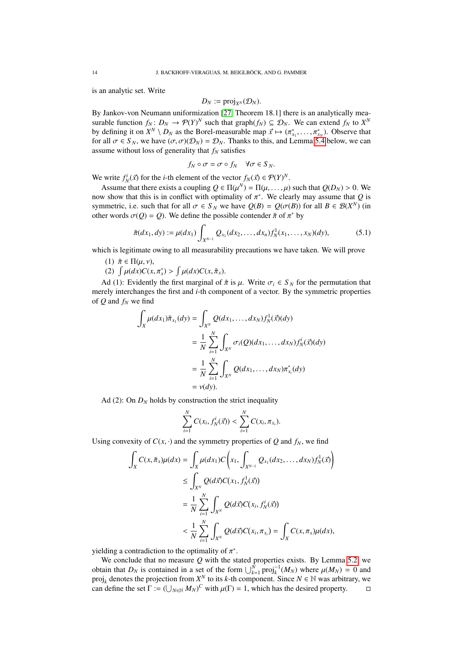is an analytic set. Write

$$
D_N := \text{proj}_{X^N}(\mathcal{D}_N).
$$

 $D_N := \text{proj}_{X^N}(\mathcal{D}_N)$ .<br>By Jankov-von Neumann uniformization [\[27,](#page-21-31) Theorem 18.1] there is an analytically measurable function  $f_N: D_N \to \mathcal{P}(Y)^N$  such that graph $(f_N) \subseteq \mathcal{D}_N$ . We can extend  $f_N$  to  $X^N$ by defining it on  $X^N \setminus D_N$  as the Borel-measurable map  $\vec{x} \mapsto (\pi_{x_1}^*, \dots, \pi_{x_N}^*)$ . Observe that for all  $\sigma \in S_N$ , we have  $(\sigma \sigma)(\mathcal{D}_N) = \mathcal{D}_N$ . Thanks to this, and I emma 5.4 helow, we can for all  $\sigma \in S_N$ , we have  $(\sigma, \sigma)(\mathcal{D}_N) = \mathcal{D}_N$ . Thanks to this, and Lemma [5.4](#page-14-0) below, we can assume without loss of generality that  $f_N$  satisfies

$$
f_N \circ \sigma = \sigma \circ f_N \quad \forall \sigma \in S_N.
$$

We write  $f_N^i(\vec{x})$  for the *i*-th element of the vector  $f_N(\vec{x}) \in \mathcal{P}(Y)^N$ .<br>A ssume that there exists a counting  $\hat{Q} \in \Pi(u^N) = \Pi(u^N, u^N)$ 

Assume that there exists a coupling  $Q \in \Pi(\mu^N) = \Pi(\mu, \dots, \mu)$  such that  $Q(D_N) > 0$ . We we show that this is in conflict with optimality of  $\pi^*$ . We clearly may assume that *Q* is now show that this is in conflict with optimality of  $\pi^*$ . We clearly may assume that *Q* is<br>symmetric i.e. such that for all  $\sigma \in S_N$  we have  $O(R) = O(\sigma(R))$  for all  $R \in \mathcal{R}(X^N)$  (in symmetric, i.e. such that for all  $\sigma \in S_N$  we have  $Q(B) = Q(\sigma(B))$  for all  $B \in \mathcal{B}(X^N)$  (in other words  $\sigma(O) = O$ ). We define the possible contender  $\tilde{\pi}$  of  $\pi^*$  by other words  $\sigma(Q) = Q$ ). We define the possible contender  $\tilde{\pi}$  of  $\pi^*$  by

$$
\tilde{\pi}(dx_1, dy) := \mu(dx_1) \int_{X^{N-1}} Q_{x_1}(dx_2, \dots, dx_n) f_N^1(x_1, \dots, x_N)(dy),
$$
\n(5.1)

which is legitimate owing to all measurability precautions we have taken. We will prove

- (1)  $\tilde{\pi} \in \Pi(\mu, \nu)$ ,
- (2)  $\int \mu(dx) C(x, \pi_x^*) > \int \mu(dx) C(x, \tilde{\pi}_x).$

Ad (1): Evidently the first marginal of  $\tilde{\pi}$  is  $\mu$ . Write  $\sigma_i \in S_N$  for the permutation that merely interchanges the first and *i*-th component of a vector. By the symmetric properties of *Q* and *f<sup>N</sup>* we find

$$
\int_{X} \mu(dx_{1}) \tilde{\pi}_{x_{1}}(dy) = \int_{X^{N}} Q(dx_{1},...,dx_{N}) f_{N}^{1}(\vec{x})(dy)
$$
\n
$$
= \frac{1}{N} \sum_{i=1}^{N} \int_{X^{N}} \sigma_{i}(Q)(dx_{1},...,dx_{N}) f_{N}^{i}(\vec{x})(dy)
$$
\n
$$
= \frac{1}{N} \sum_{i=1}^{N} \int_{X^{N}} Q(dx_{1},...,dx_{N}) \pi_{x_{i}}^{*}(dy)
$$
\n
$$
= \nu(dy).
$$

Ad (2): On  $D_N$  holds by construction the strict inequality

$$
\sum_{i=1}^N C(x_i, f_N^i(\vec{x})) < \sum_{i=1}^N C(x_i, \pi_{x_i}).
$$

Using convexity of  $C(x, \cdot)$  and the symmetry properties of Q and  $f_N$ , we find

$$
\int_{X} C(x, \tilde{\pi}_{x}) \mu(dx) = \int_{X} \mu(dx_{1}) C\left(x_{1}, \int_{X^{N-1}} Q_{x_{1}}(dx_{2}, ..., dx_{N}) f_{N}^{1}(\vec{x})\right)
$$
\n
$$
\leq \int_{X^{N}} Q(d\vec{x}) C(x_{1}, f_{N}^{1}(\vec{x}))
$$
\n
$$
= \frac{1}{N} \sum_{i=1}^{N} \int_{X^{N}} Q(d\vec{x}) C(x_{i}, f_{N}^{i}(\vec{x}))
$$
\n
$$
< \frac{1}{N} \sum_{i=1}^{N} \int_{X^{N}} Q(d\vec{x}) C(x_{i}, \pi_{x_{i}}) = \int_{X} C(x, \pi_{x}) \mu(dx),
$$

yielding a contradiction to the optimality of  $\pi^*$ .<br>We conclude that no measure O with the st

We conclude that no measure *Q* with the stated properties exists. By Lemma [5.2,](#page-12-2) we obtain that  $D_N$  is contained in a set of the form  $\bigcup_{k=1}^N \text{proj}_k^{-1}(M_N)$  where  $\mu(M_N) = 0$  and projection from  $X^N$  to its k-th component. Since  $N \in \mathbb{N}$  was arbitrary we proj<sub>k</sub> denotes the projection from  $X^N$  to its *k*-th component. Since  $N \in \mathbb{N}$  was arbitrary, we can define the set  $\Gamma := (\bigcup_{N \in \mathbb{N}} M_N)^C$  with  $\mu(\Gamma) = 1$ , which has the desired property.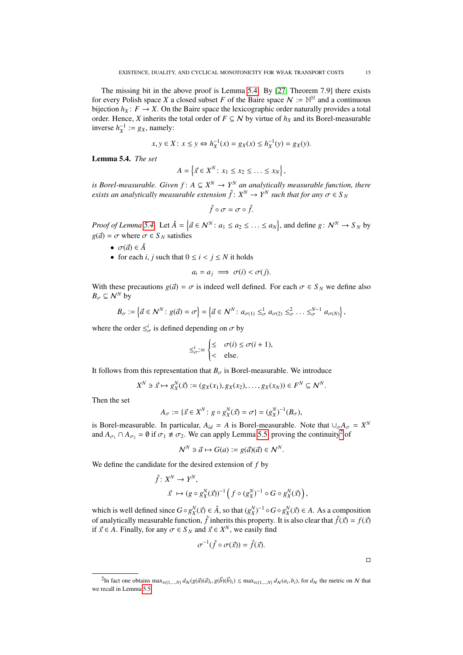The missing bit in the above proof is Lemma [5.4.](#page-14-0) By [\[27,](#page-21-31) Theorem 7.9] there exists for every Polish space *X* a closed subset *F* of the Baire space  $N := \mathbb{N}^{\mathbb{N}}$  and a continuous bijection  $h_X: F \to X$ . On the Baire space the lexicographic order naturally provides a total order. Hence, *X* inherits the total order of  $F \subseteq N$  by virtue of  $h_X$  and its Borel-measurable inverse  $h_X^{-1} := g_X$ , namely:

$$
x, y \in X: x \le y \Leftrightarrow h_X^{-1}(x) = g_X(x) \le h_X^{-1}(y) = g_X(y).
$$

<span id="page-14-0"></span>Lemma 5.4. *The set*

$$
A = \left\{ \vec{x} \in X^N \colon x_1 \leq x_2 \leq \ldots \leq x_N \right\},\
$$

*is Borel-measurable. Given*  $f: A \subseteq X^N \to Y^N$  *an analytically measurable function, there exists an analytically measurable extension*  $\hat{f}$ :  $X^N \to Y^N$  such that for any  $\sigma \in S_N$ 

$$
\hat{f}\circ\sigma=\sigma\circ\hat{f}.
$$

*Proof of Lemma* [5.4.](#page-14-0) Let  $\hat{A} = \{ \vec{a} \in \mathbb{N}^N : a_1 \le a_2 \le \dots \le a_N \}$ , and define  $g: \mathbb{N}^N \to S_N$  by  $g(\vec{a}) = \sigma$  where  $\sigma \in S_N$  satisfies

- $\sigma(\vec{a}) \in \hat{A}$
- for each *i*, *j* such that  $0 \le i \le j \le N$  it holds

$$
a_i = a_j \implies \sigma(i) < \sigma(j).
$$

With these precautions  $g(\vec{a}) = \sigma$  is indeed well defined. For each  $\sigma \in S_N$  we define also  $B_{\sigma} \subseteq \mathcal{N}^N$  by

$$
B_{\sigma} := \left\{ \vec{a} \in \mathcal{N}^N \colon g(\vec{a}) = \sigma \right\} = \left\{ \vec{a} \in \mathcal{N}^N \colon a_{\sigma(1)} \leq_{\sigma}^1 a_{\sigma(2)} \leq_{\sigma}^2 \ldots \leq_{\sigma}^{N-1} a_{\sigma(N)} \right\},
$$

where the order  $\leq^i_{\sigma}$  is defined depending on  $\sigma$  by

$$
\leq_{\sigma}^{i} := \begin{cases} \leq & \sigma(i) \leq \sigma(i+1), \\ < & \text{else.} \end{cases}
$$

It follows from this representation that  $B_{\sigma}$  is Borel-measurable. We introduce

$$
X^N \ni \vec{x} \mapsto g_X^N(\vec{x}) := (g_X(x_1), g_X(x_2), \dots, g_X(x_N)) \in F^N \subseteq \mathcal{N}^N.
$$

Then the set

$$
A_{\sigma} := \{ \vec{x} \in X^N : g \circ g_X^N(\vec{x}) = \sigma \} = (g_X^N)^{-1}(B_{\sigma}),
$$

is Borel-measurable. In particular,  $A_{id} = A$  is Borel-measurable. Note that  $\bigcup_{\sigma} A_{\sigma} = X^N$ and  $A_{\sigma_1} \cap A_{\sigma_2} = \emptyset$  $A_{\sigma_1} \cap A_{\sigma_2} = \emptyset$  $A_{\sigma_1} \cap A_{\sigma_2} = \emptyset$  if  $\sigma_1 \not\equiv \sigma_2$ . We can apply Lemma [5.5,](#page-15-1) proving the continuity<sup>2</sup> of

$$
\mathcal{N}^N \ni \vec{a} \mapsto G(a) := g(\vec{a})(\vec{a}) \in \mathcal{N}^N.
$$

We define the candidate for the desired extension of *f* by

$$
\hat{f}: X^N \to Y^N,
$$
  
\n
$$
\vec{x} \mapsto (g \circ g_X^N(\vec{x}))^{-1} \left( f \circ (g_X^N)^{-1} \circ G \circ g_X^N(\vec{x}) \right),
$$

which is well defined since  $G \circ g^N_\lambda(\vec{x}) \in \hat{A}$ , so that  $(g^N_\lambda)^{-1} \circ G \circ g^N_\lambda(\vec{x}) \in A$ . As a composition of englistically measurable function,  $\hat{f}$  inherits this preparty. It is also algorithet  $\hat{f}(\vec{x}) = f(\vec{x})$ of analytically measurable function,  $\hat{f}$  inherits this property. It is also clear that  $\hat{f}(\vec{x}) = f(\vec{x})$ if  $\vec{x} \in A$ . Finally, for any  $\sigma \in S_N$  and  $\vec{x} \in X^N$ , we easily find

$$
\sigma^{-1}(\hat{f} \circ \sigma(\vec{x})) = \hat{f}(\vec{x}).
$$

 $\Box$ 

<span id="page-14-1"></span> ${}^{2}\text{In}$  fact one obtains  $\max_{i \in \{1, \dots, N\}} d_{\mathcal{N}}(g(\vec{a})(\vec{a})_i, g(\vec{b})(\vec{b})_i) \leq \max_{i \in \{1, \dots, N\}} d_{\mathcal{N}}(a_i, b_i)$ , for  $d_{\mathcal{N}}$  the metric on  $\mathcal N$  that we recall in Lemma [5.5.](#page-15-1)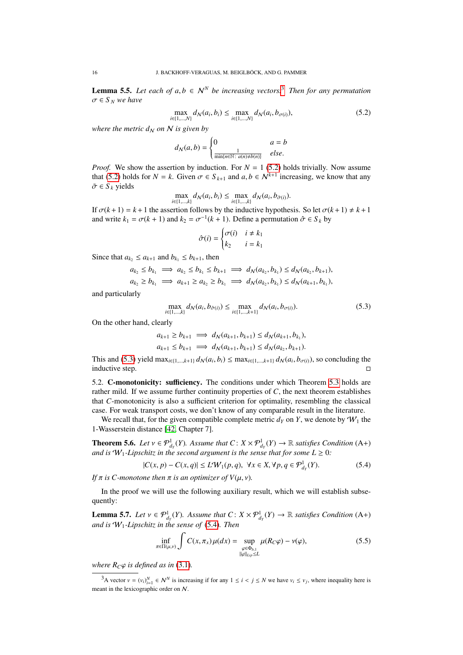<span id="page-15-1"></span>**Lemma 5.5.** Let each of  $a, b \in \mathbb{N}^N$  be increasing vectors.<sup>[3](#page-15-2)</sup> Then for any permutation  $\sigma \in S_N$  *we have* 

$$
\max_{i \in \{1,\dots,N\}} d_N(a_i, b_i) \le \max_{i \in \{1,\dots,N\}} d_N(a_i, b_{\sigma(i)}),
$$
\n(5.2)

*where the metric*  $d_N$  *on*  $N$  *is given by* 

<span id="page-15-3"></span>
$$
d_N(a,b) = \begin{cases} 0 & a = b \\ \frac{1}{\min\{n \in \mathbb{N} : a(n) \neq b(n)\}} & else. \end{cases}
$$

*Proof.* We show the assertion by induction. For  $N = 1$  [\(5.2\)](#page-15-3) holds trivially. Now assume that [\(5.2\)](#page-15-3) holds for  $N = k$ . Given  $\sigma \in S_{k+1}$  and  $a, b \in N^{k+1}$  increasing, we know that any  $\tilde{\sigma} \in S$ , vields  $\tilde{\sigma} \in S_k$  yields

$$
\max_{i \in \{1, ..., k\}} d_N(a_i, b_i) \le \max_{i \in \{1, ..., k\}} d_N(a_i, b_{\tilde{\sigma}(i)}).
$$

If  $\sigma(k+1) = k+1$  the assertion follows by the inductive hypothesis. So let  $\sigma(k+1) \neq k+1$ <br>and write  $k_1 = \sigma(k+1)$  and  $k_2 = \sigma^{-1}(k+1)$ . Define a permutation  $\hat{\sigma} \in S$ , by and write  $k_1 = \sigma(k + 1)$  and  $k_2 = \sigma^{-1}(k + 1)$ . Define a permutation  $\hat{\sigma} \in S_k$  by

<span id="page-15-4"></span>
$$
\hat{\sigma}(i) = \begin{cases} \sigma(i) & i \neq k_1 \\ k_2 & i = k_1 \end{cases}
$$

Since that  $a_k \le a_{k+1}$  and  $b_{k_1} \le b_{k+1}$ , then

$$
a_{k_2} \le b_{k_1} \implies a_{k_2} \le b_{k_1} \le b_{k+1} \implies d_N(a_{k_2}, b_{k_1}) \le d_N(a_{k_2}, b_{k+1}),
$$
  

$$
a_{k_2} \ge b_{k_1} \implies a_{k+1} \ge a_{k_2} \ge b_{k_1} \implies d_N(a_{k_2}, b_{k_1}) \le d_N(a_{k+1}, b_{k_1}),
$$

and particularly

$$
\max_{i \in \{1,\dots,k\}} d_N(a_i, b_{\hat{\sigma}(i)}) \le \max_{i \in \{1,\dots,k+1\}} d_N(a_i, b_{\sigma(i)}).
$$
\n(5.3)

On the other hand, clearly

$$
a_{k+1} \ge b_{k+1} \implies d_N(a_{k+1}, b_{k+1}) \le d_N(a_{k+1}, b_{k_1}),
$$
  

$$
a_{k+1} \le b_{k+1} \implies d_N(a_{k+1}, b_{k+1}) \le d_N(a_{k_2}, b_{k+1}).
$$

This and [\(5.3\)](#page-15-4) yield max<sub>*i*∈{1,...,*k*+1}  $d_N(a_i, b_i) \le \max_{i \in \{1, \dots, k+1\}} d_N(a_i, b_{\sigma(i)})$ , so concluding the inductive step</sub> inductive step.

5.2. C-monotonicity: sufficiency. The conditions under which Theorem [5.3](#page-12-1) holds are rather mild. If we assume further continuity properties of *C*, the next theorem establishes that *C*-monotonicity is also a sufficient criterion for optimality, resembling the classical case. For weak transport costs, we don't know of any comparable result in the literature.

We recall that, for the given compatible complete metric  $d_Y$  on  $Y$ , we denote by  $W_1$  the 1-Wasserstein distance [\[42,](#page-22-5) Chapter 7].

<span id="page-15-0"></span>**Theorem 5.6.** *Let*  $v \in \mathcal{P}_{d_f}^1(Y)$ . Assume that  $C: X \times \mathcal{P}_{d_f}^1(Y) \to \mathbb{R}$  satisfies Condition (A+) and is  $W_d$ . *Linschitz in the second argument is the sense that for some*  $I > 0$ *. and is*  $W_1$ -Lipschitz in the second argument is the sense that for some  $L \geq 0$ :

<span id="page-15-5"></span>
$$
|C(x, p) - C(x, q)| \le L'W_1(p, q), \ \forall x \in X, \forall p, q \in \mathcal{P}^1_{d_Y}(Y). \tag{5.4}
$$

*If*  $\pi$  *is C*-monotone then  $\pi$  *is an optimizer of*  $V(\mu, \nu)$ *.* 

In the proof we will use the following auxiliary result, which we will establish subsequently:

<span id="page-15-6"></span>**Lemma 5.7.** *Let*  $v \in \mathcal{P}_{d_Y}^1(Y)$ . Assume that  $C: X \times \mathcal{P}_{d_Y}^1(Y) \to \mathbb{R}$  satisfies Condition (A+) and is  $\mathcal{W}_d$ . Linschitz in the sense of (5.4). Then and is  $W_1$ -Lipschitz in the sense of [\(5.4\)](#page-15-5). Then

$$
\inf_{\pi \in \Pi(\mu,\nu)} \int C(x,\pi_x) \mu(dx) = \sup_{\substack{\varphi \in \Phi_{b,1} \\ ||\varphi||_{Lip} \le L}} \mu(R_C \varphi) - \nu(\varphi),\tag{5.5}
$$

*where*  $R_C\varphi$  *is defined as in* [\(3.1\)](#page-9-5).

<span id="page-15-2"></span><sup>&</sup>lt;sup>3</sup>A vector  $v = (v_i)_{i=1}^N \in \mathcal{N}^N$  is increasing if for any  $1 \le i < j \le N$  we have  $v_i \le v_j$ , where inequality here is meant in the lexicographic order on N.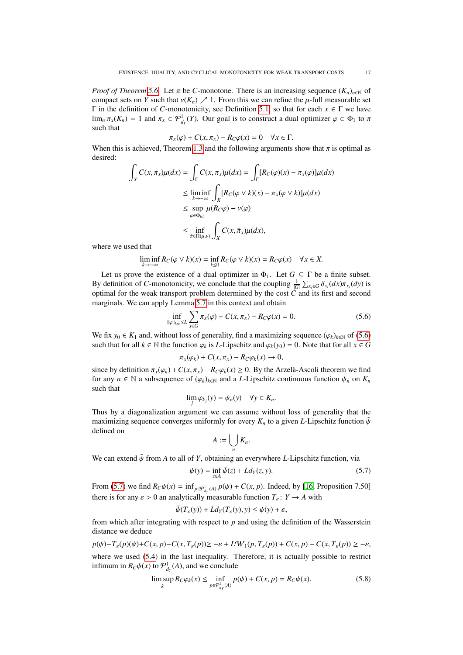*Proof of Theorem* [5.6.](#page-15-0) Let  $\pi$  be *C*-monotone. There is an increasing sequence  $(K_n)_{n\in\mathbb{N}}$  of compact sets on *Y* such that  $v(K_n) \nearrow 1$ . From this we can refine the  $\mu$ -full measurable set Γ in the definition of *C*-monotonicity, see Definition [5.1,](#page-12-0) so that for each *x* ∈ Γ we have  $\lim_{n} \pi_x(K_n) = 1$  and  $\pi_x \in \mathcal{P}^1_{d_Y}(Y)$ . Our goal is to construct a dual optimizer  $\varphi \in \Phi_1$  to  $\pi$ such that

$$
\pi_x(\varphi) + C(x, \pi_x) - R_C\varphi(x) = 0 \quad \forall x \in \Gamma.
$$

When this is achieved, Theorem [1.3](#page-2-3) and the following arguments show that  $\pi$  is optimal as desired: desired:

$$
\int_{X} C(x, \pi_{x}) \mu(dx) = \int_{\Gamma} C(x, \pi_{x}) \mu(dx) = \int_{\Gamma} [R_{C}(\varphi)(x) - \pi_{x}(\varphi)] \mu(dx)
$$
\n
$$
\leq \liminf_{k \to -\infty} \int_{X} [R_{C}(\varphi \vee k)(x) - \pi_{x}(\varphi \vee k)] \mu(dx)
$$
\n
$$
\leq \sup_{\varphi \in \Phi_{b,1}} \mu(R_{C}\varphi) - \nu(\varphi)
$$
\n
$$
\leq \inf_{\tilde{\pi} \in \Pi(\mu, \nu)} \int_{X} C(x, \tilde{\pi}_{x}) \mu(dx),
$$

where we used that

$$
\liminf_{k \to -\infty} R_C(\varphi \vee k)(x) = \inf_{k \le 0} R_C(\varphi \vee k)(x) = R_C \varphi(x) \quad \forall x \in X.
$$

Let us prove the existence of a dual optimizer in  $\Phi_1$ . Let  $G \subseteq \Gamma$  be a finite subset. By definition of *C*-monotonicity, we conclude that the coupling  $\frac{1}{|G|}\sum_{x_i\in G}\delta_{x_i}(dx)\pi_{x_i}(dy)$  is optimal for the weak transport problem determined by the cost *C* and its first and second optimal for the weak transport problem determined by the cost *C* and its first and second marginals. We can apply Lemma [5.7](#page-15-6) in this context and obtain

$$
\inf_{\|\varphi\|_{Lip}\le L} \sum_{x\in G} \pi_x(\varphi) + C(x, \pi_x) - R_C \varphi(x) = 0.
$$
 (5.6)

We fix  $y_0 \in K_1$  and, without loss of generality, find a maximizing sequence  $(\varphi_k)_{k \in \mathbb{N}}$  of [\(5.6\)](#page-16-0) such that for all  $k \in \mathbb{N}$  the function  $\varphi_k$  is *L*-Lipschitz and  $\varphi_k(y_0) = 0$ . Note that for all  $x \in G$ 

<span id="page-16-0"></span>
$$
\pi_x(\varphi_k) + C(x, \pi_x) - R_C \varphi_k(x) \to 0,
$$

since by definition  $\pi_x(\varphi_k) + C(x, \pi_x) - R_C\varphi_k(x) \ge 0$ . By the Arzelà-Ascoli theorem we find for any  $n \in \mathbb{N}$  a subsequence of  $(\infty)_x$  as and a *L*-Linschitz continuous function  $\psi_x$  on K for any  $n \in \mathbb{N}$  a subsequence of  $(\varphi_k)_{k \in \mathbb{N}}$  and a *L*-Lipschitz continuous function  $\psi_n$  on  $K_n$ such that

$$
\lim_j \varphi_{k_j}(y) = \psi_n(y) \quad \forall y \in K_n.
$$

Thus by a diagonalization argument we can assume without loss of generality that the maximizing sequence converges uniformly for every  $K_n$  to a given *L*-Lipschitz function  $\tilde{\psi}$ defined on

<span id="page-16-1"></span>
$$
A:=\bigcup_n K_n.
$$

We can extend  $\tilde{\psi}$  from *A* to all of *Y*, obtaining an everywhere *L*-Lipschitz function, via

$$
\psi(y) = \inf_{z \in A} \tilde{\psi}(z) + L d_Y(z, y). \tag{5.7}
$$

From [\(5.7\)](#page-16-1) we find  $R_C\psi(x) = \inf_{p \in \mathcal{P}^1_{dy}(A)} p(\psi) + C(x, p)$ . Indeed, by [\[16,](#page-21-18) Proposition 7.50] there is for any  $\varepsilon > 0$  an analytically measurable function  $T_{\varepsilon} : Y \to A$  with

<span id="page-16-2"></span>
$$
\tilde{\psi}(T_{\varepsilon}(y)) + L d_Y(T_{\varepsilon}(y), y) \le \psi(y) + \varepsilon,
$$

from which after integrating with respect to *p* and using the definition of the Wasserstein distance we deduce

$$
p(\psi) - T_{\varepsilon}(p)(\psi) + C(x, p) - C(x, T_{\varepsilon}(p)) \ge -\varepsilon + L'W_1(p, T_{\varepsilon}(p)) + C(x, p) - C(x, T_{\varepsilon}(p)) \ge -\varepsilon,
$$
  
where we used (5.4) in the last inequality. Therefore, it is actually possible to restrict  
infimum in  $R_C \psi(x)$  to  $\mathcal{P}^1_{d_Y}(A)$ , and we conclude

$$
\limsup_{k} R_{C}\varphi_{k}(x) \le \inf_{p \in \mathcal{P}_{d_{Y}}^{1}(A)} p(\psi) + C(x, p) = R_{C}\psi(x). \tag{5.8}
$$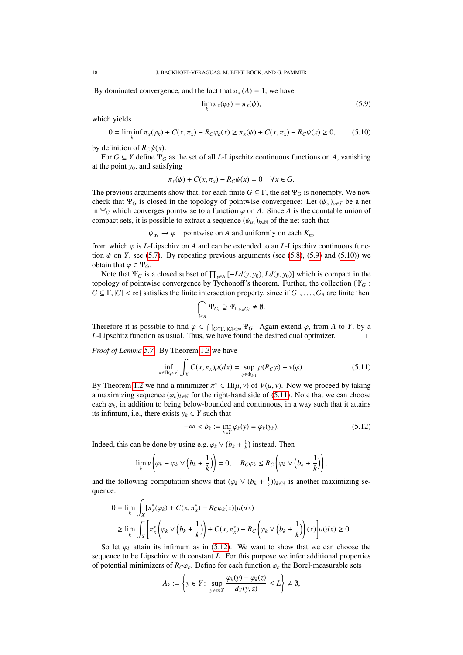By dominated convergence, and the fact that  $\pi$ <sub>*x*</sub> (*A*) = 1, we have

<span id="page-17-1"></span><span id="page-17-0"></span>
$$
\lim_{k} \pi_x(\varphi_k) = \pi_x(\psi),\tag{5.9}
$$

which yields

$$
0 = \liminf_{k} \pi_x(\varphi_k) + C(x, \pi_x) - R_C \varphi_k(x) \ge \pi_x(\psi) + C(x, \pi_x) - R_C \psi(x) \ge 0,
$$
 (5.10)

by definition of  $R_C \psi(x)$ .

For  $G \subseteq Y$  define  $\Psi_G$  as the set of all *L*-Lipschitz continuous functions on *A*, vanishing at the point  $y_0$ , and satisfying

$$
\pi_x(\psi) + C(x, \pi_x) - R_C \psi(x) = 0 \quad \forall x \in G.
$$

The previous arguments show that, for each finite  $G \subseteq \Gamma$ , the set  $\Psi_G$  is nonempty. We now check that  $\Psi_G$  is closed in the topology of pointwise convergence: Let  $(\psi_\alpha)_{\alpha \in I}$  be a net in  $\Psi_G$  which converges pointwise to a function  $\varphi$  on A. Since A is the countable union of compact sets, it is possible to extract a sequence  $(\psi_{\alpha_k})_{k \in \mathbb{N}}$  of the net such that

 $\psi_{\alpha_k} \to \varphi$  pointwise on *A* and uniformly on each  $K_n$ ,

from which  $\varphi$  is *L*-Lipschitz on *A* and can be extended to an *L*-Lipschitz continuous function  $\psi$  on *Y*, see [\(5.7\)](#page-16-1). By repeating previous arguments (see [\(5.8\)](#page-16-2), [\(5.9\)](#page-17-0) and [\(5.10\)](#page-17-1)) we obtain that  $\varphi \in \Psi_G$ .

Note that  $\Psi_G$  is a closed subset of  $\prod_{y \in A} [-L d(y, y_0), L d(y, y_0)]$  which is compact in the collection  $\mathcal{W}_G$ : topology of pointwise convergence by Tychonoff's theorem. Further, the collection {Ψ*<sup>G</sup>* :  $G \subseteq \Gamma$ ,  $|G| < \infty$ } satisfies the finite intersection property, since if  $G_1, \ldots, G_n$  are finite then

<span id="page-17-2"></span>
$$
\bigcap_{i\leq n}\Psi_{G_i}\supseteq \Psi_{\cup_{i\leq n}G_i}\neq\emptyset.
$$

Therefore it is possible to find  $\varphi \in \bigcap_{G \subseteq \Gamma, |G| < \infty} \Psi_G$ . Again extend  $\varphi$ , from *A* to *Y*, by a *I*-I inschitz function as usual. Thus, we have found the desired dual optimizer *L*-Lipschitz function as usual. Thus, we have found the desired dual optimizer.

*Proof of Lemma [5.7.](#page-15-6)* By Theorem [1.3](#page-2-3) we have

$$
\inf_{\pi \in \Pi(\mu,\nu)} \int_X C(x,\pi_x)\mu(dx) = \sup_{\varphi \in \Phi_{b,1}} \mu(R_C\varphi) - \nu(\varphi). \tag{5.11}
$$

By Theorem [1.2](#page-1-1) we find a minimizer  $\pi^* \in \Pi(\mu, \nu)$  of  $V(\mu, \nu)$ . Now we proceed by taking a maximizing sequence  $(\alpha_1)_x$ , s for the right-hand side of (5.11). Note that we can choose a maximizing sequence  $(\varphi_k)_{k \in \mathbb{N}}$  for the right-hand side of [\(5.11\)](#page-17-2). Note that we can choose each  $\varphi_k$ , in addition to being below-bounded and continuous, in a way such that it attains its infimum, i.e., there exists  $y_k \in Y$  such that

<span id="page-17-3"></span>
$$
-\infty < b_k := \inf_{y \in Y} \varphi_k(y) = \varphi_k(y_k). \tag{5.12}
$$

Indeed, this can be done by using e.g.  $\varphi_k \vee (b_k + \frac{1}{k})$  instead. Then

$$
\lim_{k} \nu \left( \varphi_k - \varphi_k \vee \left( b_k + \frac{1}{k} \right) \right) = 0, \quad R_C \varphi_k \leq R_C \left( \varphi_k \vee \left( b_k + \frac{1}{k} \right) \right),
$$

and the following computation shows that  $(\varphi_k \vee (b_k + \frac{1}{k}))_{k \in \mathbb{N}}$  is another maximizing sequence: quence:

$$
0 = \lim_{k} \int_{X} [\pi_x^*(\varphi_k) + C(x, \pi_x^*) - R_C \varphi_k(x)] \mu(dx)
$$
  
\n
$$
\geq \lim_{k} \int_{X} \left[ \pi_x^* \left( \varphi_k \vee (b_k + \frac{1}{k}) \right) + C(x, \pi_x^*) - R_C \left( \varphi_k \vee (b_k + \frac{1}{k}) \right) (x) \right] \mu(dx) \geq 0.
$$

So let  $\varphi_k$  attain its infimum as in [\(5.12\)](#page-17-3). We want to show that we can choose the sequence to be Lipschitz with constant *L*. For this purpose we infer additional properties of potential minimizers of  $R_C\varphi_k$ . Define for each function  $\varphi_k$  the Borel-measurable sets

$$
A_k := \left\{ y \in Y: \sup_{y \neq z \in Y} \frac{\varphi_k(y) - \varphi_k(z)}{d_Y(y, z)} \le L \right\} \neq \emptyset,
$$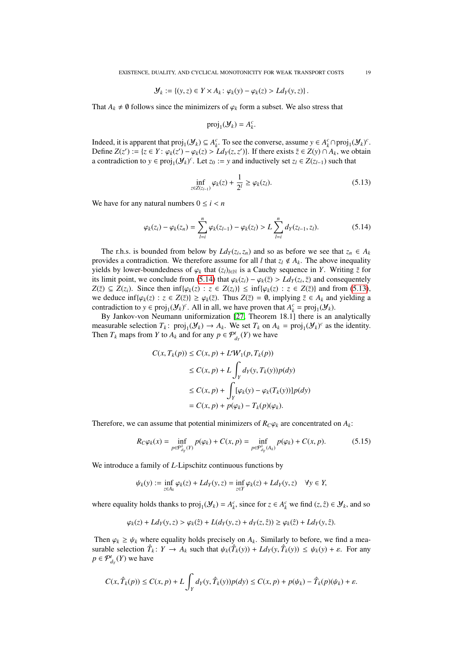$$
\mathcal{Y}_k := \left\{ (y, z) \in Y \times A_k \colon \varphi_k(y) - \varphi_k(z) > L d_Y(y, z) \right\}.
$$

That  $A_k \neq \emptyset$  follows since the minimizers of  $\varphi_k$  form a subset. We also stress that

$$
\text{proj}_1(\mathcal{Y}_k) = A_k^c.
$$

Indeed, it is apparent that  $proj_1(\mathcal{Y}_k) \subseteq A_k^c$ . To see the converse, assume  $y \in A_k^c \cap proj_1(\mathcal{Y}_k)^c$ . Define *Z*(*z*<sup>*'*</sup>) := {*z* ∈ *Y* :  $\varphi_k(z) - \varphi_k(z) > L d_Y(z, z')$ }. If there exists  $\tilde{z} \in Z(y) ∩ A_k$ , we obtain a contradiction to  $y \in \text{proj}(V)$ . I et  $z_0 := y$  and inductively set  $z_0 \in Z(z, \alpha)$  such that a contradiction to  $y \in \text{proj}_1(\mathcal{Y}_k)^c$ . Let  $z_0 := y$  and inductively set  $z_l \in Z(z_{l-1})$  such that

$$
\inf_{z \in Z(z_{l-1})} \varphi_k(z) + \frac{1}{2^l} \ge \varphi_k(z_l). \tag{5.13}
$$

We have for any natural numbers  $0 \le i \le n$ 

$$
\varphi_k(z_i) - \varphi_k(z_n) = \sum_{l=i}^n \varphi_k(z_{l-1}) - \varphi_k(z_l) > L \sum_{l=i}^n d_Y(z_{l-1}, z_l). \tag{5.14}
$$

The r.h.s. is bounded from below by  $Ld_Y(z_i, z_n)$  and so as before we see that  $z_n \in A_k$ <br>wides a contradiction. We therefore assume for all *l* that  $z_i \notin A_i$ . The above inequality provides a contradiction. We therefore assume for all *l* that  $z_l \notin A_k$ . The above inequality yields by lower-boundedness of  $\varphi_k$  that  $(z_l)_{l \in \mathbb{N}}$  is a Cauchy sequence in *Y*. Writing  $\bar{z}$  for its limit point, we conclude from [\(5.14\)](#page-18-0) that  $\varphi_k(z_i) - \varphi_k(\overline{z}) > Ld_Y(z_i, \overline{z})$  and consequentely  $Z(\overline{z}) \subset Z(z_i)$ . Since then inf*l*( $\varphi_k(z) \to z \in Z(z_i)$ ) < inf*l*( $\varphi_k(z) \to z \in Z(\overline{z})$ ) and from (5.13) *Z*( $\overline{z}$ ) ⊆ *Z*( $z$ <sup>*i*</sup>). Since then inf{ $\varphi_k(z)$  :  $z \in Z(z_i)$ } ≤ inf{ $\varphi_k(z)$  :  $z \in Z(\overline{z})$ } and from [\(5.13\)](#page-18-1), we deduce  $\inf{\varphi_k(z) : z \in Z(\overline{z})\} \ge \varphi_k(\overline{z})$ . Thus  $Z(\overline{z}) = \emptyset$ , implying  $\overline{z} \in A_k$  and yielding a contradiction to  $y \in \text{proj}_1(\mathcal{Y}_k)^c$ . All in all, we have proven that  $A_k^c = \text{proj}_1(\mathcal{Y}_k)$ .

By Jankov-von Neumann uniformization [\[27,](#page-21-31) Theorem 18.1] there is an analytically measurable selection  $T_k$ :  $proj_1(\mathcal{Y}_k) \to A_k$ . We set  $T_k$  on  $A_k = proj_1(\mathcal{Y}_k)^c$  as the identity. Then  $T_k$  maps from *Y* to  $A_k$  and for any  $p \in \mathcal{P}^t_{d_Y}(Y)$  we have

$$
C(x, T_k(p)) \le C(x, p) + L \mathcal{W}_1(p, T_k(p))
$$
  
\n
$$
\le C(x, p) + L \int_Y d_Y(y, T_k(y)) p(dy)
$$
  
\n
$$
\le C(x, p) + \int_Y [\varphi_k(y) - \varphi_k(T_k(y))] p(dy)
$$
  
\n
$$
= C(x, p) + p(\varphi_k) - T_k(p)(\varphi_k).
$$

Therefore, we can assume that potential minimizers of  $R_C \varphi_k$  are concentrated on  $A_k$ :

<span id="page-18-2"></span>
$$
R_C \varphi_k(x) = \inf_{p \in \mathcal{P}^1_{d_Y}(Y)} p(\varphi_k) + C(x, p) = \inf_{p \in \mathcal{P}^1_{d_Y}(A_k)} p(\varphi_k) + C(x, p). \tag{5.15}
$$

We introduce a family of *L*-Lipschitz continuous functions by

$$
\psi_k(y):=\inf_{z\in A_k}\varphi_k(z)+Ld_Y(y,z)=\inf_{z\in Y}\varphi_k(z)+Ld_Y(y,z)\quad \forall y\in Y,
$$

where equality holds thanks to  $proj_1(\mathcal{Y}_k) = A_k^c$ , since for  $z \in A_k^c$  we find  $(z, \hat{z}) \in \mathcal{Y}_k$ , and so

$$
\varphi_k(z) + Ld_Y(y, z) > \varphi_k(\hat{z}) + L(d_Y(y, z) + d_Y(z, \hat{z})) \ge \varphi_k(\hat{z}) + Ld_Y(y, \hat{z}).
$$

Then  $\varphi_k \geq \psi_k$  where equality holds precisely on  $A_k$ . Similarly to before, we find a measurable selection  $\hat{T}_k$ :  $Y \to A_k$  such that  $\psi_k(\hat{T}_k(y)) + L d_Y(y, \hat{T}_k(y)) \leq \psi_k(y) + \varepsilon$ . For any  $n \in \mathcal{P}^t$  (*Y*) we have  $p \in \mathcal{P}^t_{d_Y}(Y)$  we have

$$
C(x,\hat{T}_k(p)) \leq C(x,p) + L \int_Y d_Y(y,\hat{T}_k(y)) p(dy) \leq C(x,p) + p(\psi_k) - \hat{T}_k(p)(\psi_k) + \varepsilon.
$$

<span id="page-18-1"></span><span id="page-18-0"></span>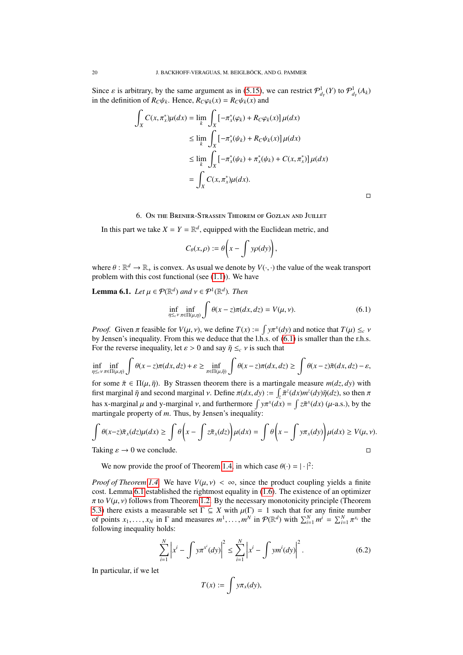Since  $\varepsilon$  is arbitrary, by the same argument as in [\(5.15\)](#page-18-2), we can restrict  $\mathcal{P}^1_{d_Y}(Y)$  to  $\mathcal{P}^1_{d_Y}(A_k)$ <br>in the definition of  $R_{\alpha/2}$ . Hence  $R_{\alpha/2}$ .  $(Y) = R_{\alpha/2}$ . (*x*) and in the definition of  $R_C \psi_k$ . Hence,  $R_C \varphi_k(x) = R_C \psi_k(x)$  and

$$
\int_{X} C(x, \pi_{x}^{*}) \mu(dx) = \lim_{k} \int_{X} \left[ -\pi_{x}^{*}(\varphi_{k}) + R_{C}\varphi_{k}(x) \right] \mu(dx)
$$
\n
$$
\leq \lim_{k} \int_{X} \left[ -\pi_{x}^{*}(\psi_{k}) + R_{C}\psi_{k}(x) \right] \mu(dx)
$$
\n
$$
\leq \lim_{k} \int_{X} \left[ -\pi_{x}^{*}(\psi_{k}) + \pi_{x}^{*}(\psi_{k}) + C(x, \pi_{x}^{*}) \right] \mu(dx)
$$
\n
$$
= \int_{X} C(x, \pi_{x}^{*}) \mu(dx).
$$

 $\Box$ 

# 6. On the Brenier-Strassen Theorem of Gozlan and Juillet

<span id="page-19-0"></span>In this part we take  $X = Y = \mathbb{R}^d$ , equipped with the Euclidean metric, and

$$
C_{\theta}(x,\rho):=\theta\bigg(x-\int y\rho(dy)\bigg),\,
$$

where  $\theta$ :  $\mathbb{R}^d \to \mathbb{R}_+$  is convex. As usual we denote by  $V(\cdot, \cdot)$  the value of the weak transport problem with this cost functional (see (1.1)). We have problem with this cost functional (see [\(1.1\)](#page-0-0)). We have

<span id="page-19-2"></span>**Lemma 6.1.** *Let*  $\mu \in \mathcal{P}(\mathbb{R}^d)$  *and*  $\nu \in \mathcal{P}^1(\mathbb{R}^d)$ *. Then* 

<span id="page-19-1"></span>
$$
\inf_{\eta \leq_c \nu} \inf_{\pi \in \Pi(\mu, \eta)} \int \theta(x - z) \pi(dx, dz) = V(\mu, \nu). \tag{6.1}
$$

*Proof.* Given  $\pi$  feasible for  $V(\mu, \nu)$ , we define  $T(x) := \int y \pi^x(dy)$  and notice that  $T(\mu) \leq_c \nu$ <br>by Jensen's inequality. From this we deduce that the l.h.s. of (6.1) is smaller than the r.h.s. by Jensen's inequality. From this we deduce that the l.h.s. of [\(6.1\)](#page-19-1) is smaller than the r.h.s. For the reverse inequality, let  $\varepsilon > 0$  and say  $\bar{\eta} \leq_c v$  is such that

$$
\inf_{\eta \leq \varepsilon^{\gamma}} \inf_{\pi \in \Pi(\mu,\eta)} \int \theta(x-z)\pi(dx,dz) + \varepsilon \geq \inf_{\pi \in \Pi(\mu,\bar{\eta})} \int \theta(x-z)\pi(dx,dz) \geq \int \theta(x-z)\bar{\pi}(dx,dz) - \varepsilon,
$$

for some  $\bar{\pi} \in \Pi(\mu, \bar{\eta})$ . By Strassen theorem there is a martingale measure  $m(dz, dy)$  with first marginal  $\bar{\eta}$  and second marginal v. Define  $\pi(dx, dy) := \int_{\bar{x}} \bar{\pi}^z(dx) m^z(dy) \bar{\eta}(dz)$ , so then  $\pi$ has x-marginal  $\mu$  and y-marginal  $\nu$ , and furthermore  $\int y \pi^x (dx) = \int z \bar{\pi}^x (dx) (\mu$ -a.s.), by the martingale property of *m*. Thus, by Iensen's inequality: martingale property of *m*. Thus, by Jensen's inequality:

$$
\int \theta(x-z)\bar{\pi}_x(dz)\mu(dx) \ge \int \theta\left(x - \int z\bar{\pi}_x(dz)\right)\mu(dx) = \int \theta\left(x - \int y\pi_x(dy)\right)\mu(dx) \ge V(\mu, \nu).
$$
  
Taking  $s \to 0$  we conclude

Taking  $\varepsilon \to 0$  we conclude.

We now provide the proof of Theorem [1.4,](#page-2-2) in which case  $\theta(\cdot) = |\cdot|^2$ :

*Proof of Theorem [1.4.](#page-2-2)* We have  $V(u, v) < \infty$ , since the product coupling yields a finite cost. Lemma [6.1](#page-19-2) established the rightmost equality in [\(1.6\)](#page-2-4). The existence of an optimizer  $\pi$  to  $V(\mu, \nu)$  follows from Theorem [1.2.](#page-1-1) By the necessary monotonicity principle (Theorem [5.3\)](#page-12-1) there exists a measurable set  $\Gamma \subseteq X$  with  $\mu(\Gamma) = 1$  such that for any finite number of points  $x_1, \ldots, x_N$  in  $\Gamma$  and measures  $m^1, \ldots, m^N$  in  $\mathcal{P}(\mathbb{R}^d)$  with  $\sum_{i=1}^N m^i = \sum_{i=1}^N \pi$  following inequality holds: *xi* the following inequality holds:

$$
\sum_{i=1}^{N} \left| x^{i} - \int y \pi^{x^{i}} (dy) \right|^{2} \le \sum_{i=1}^{N} \left| x^{i} - \int y m^{i} (dy) \right|^{2}.
$$
 (6.2)

In particular, if we let

<span id="page-19-3"></span>
$$
T(x) := \int y \pi_x(dy),
$$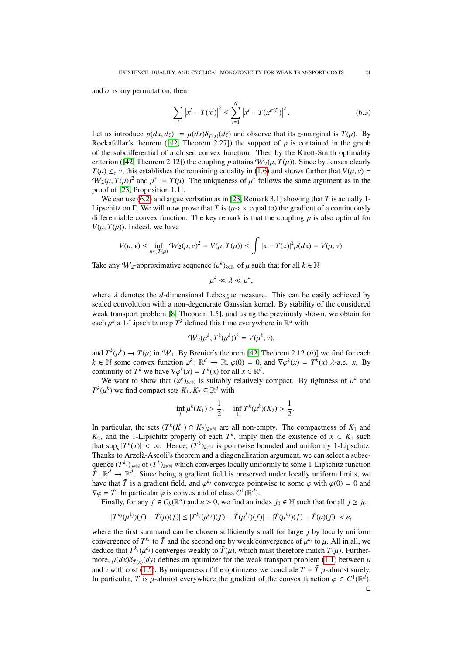and  $\sigma$  is any permutation, then

$$
\sum_{i} |x^{i} - T(x^{i})|^{2} \le \sum_{i=1}^{N} |x^{i} - T(x^{\sigma(i)})|^{2}.
$$
\n(6.3)

Let us introduce  $p(dx, dz) := \mu(dx)\delta_{T(x)}(dz)$  and observe that its *z*-marginal is  $T(\mu)$ . By Rockafellar's theorem ([\[42,](#page-22-5) Theorem 2.27]) the support of *p* is contained in the graph of the subdifferential of a closed convex function. Then by the Knott-Smith optimality criterion ([\[42,](#page-22-5) Theorem 2.12]) the coupling *p* attains  $W_2(\mu, T(\mu))$ . Since by Jensen clearly  $T(\mu) \leq_c \nu$ , this establishes the remaining equality in [\(1.6\)](#page-2-4) and shows further that  $V(\mu, \nu) =$  $W_2(\mu, T(\mu))^2$  and  $\mu^* := T(\mu)$ . The uniqueness of  $\mu^*$  follows the same argument as in the proof of [23] Proposition 1.11 proof of [\[23,](#page-21-1) Proposition 1.1].

We can use  $(6.2)$  and argue verbatim as in [\[23,](#page-21-1) Remark 3.1] showing that  $T$  is actually 1-Lipschitz on  $\Gamma$ . We will now prove that *T* is ( $\mu$ -a.s. equal to) the gradient of a continuously differentiable convex function. The key remark is that the coupling *p* is also optimal for  $V(\mu, T(\mu))$ . Indeed, we have

$$
V(\mu, \nu) \le \inf_{\eta \le c} W_2(\mu, \nu)^2 = V(\mu, T(\mu)) \le \int |x - T(x)|^2 \mu(dx) = V(\mu, \nu).
$$

Take any  $W_2$ -approximative sequence  $(\mu^k)_{k \in \mathbb{N}}$  of  $\mu$  such that for all  $k \in \mathbb{N}$ 

$$
\mu^k \ll \lambda \ll \mu^k,
$$

where  $\lambda$  denotes the *d*-dimensional Lebesgue measure. This can be easily achieved by scaled convolution with a non-degenerate Gaussian kernel. By stability of the considered weak transport problem [\[8,](#page-21-32) Theorem 1.5], and using the previously shown, we obtain for each  $\mu^k$  a 1-Lipschitz map  $T^k$  defined this time everywhere in  $\mathbb{R}^d$  with

$$
\mathcal{W}_2(\mu^k, T^k(\mu^k))^2 = V(\mu^k, \nu),
$$

and  $T^k(\mu^k) \to T(\mu)$  in  $W_1$ . By Brenier's theorem [\[42,](#page-22-5) Theorem 2.12 *(ii)*] we find for each  $k \in \mathbb{N}$  some convex function  $\phi^k \colon \mathbb{R}^d \to \mathbb{R}$   $\phi(0) = 0$  and  $\nabla \phi^k(x) = T^k(x)$  d-a.e. x. By  $k \in \mathbb{N}$  some convex function  $\varphi^k \colon \mathbb{R}^d \to \mathbb{R}$ ,  $\varphi(0) = 0$ , and  $\nabla \varphi^k(x) = T^k(x)$   $\lambda$ -a.e. *x*. By continuity of  $T^k$  we have  $\nabla \varphi^k(x) = T^k(x)$  for all  $x \in \mathbb{R}^d$ continuity of  $T^k$  we have  $\nabla \varphi^k(x) = T^k(x)$  for all  $x \in \mathbb{R}^d$ .<br>We want to show that  $(\varphi^k)_{k \ge 0}$  is suitably relatively

We want to show that  $(\varphi^k)_{k \in \mathbb{N}}$  is suitably relatively compact. By tightness of  $\mu^k$  and  $(\mu^k)$  we find compact sets  $K$ ,  $K_0 \subset \mathbb{R}^d$  with  $T^k(\mu^k)$  we find compact sets  $K_1, K_2 \subseteq \mathbb{R}^d$  with

$$
\inf_{k} \mu^{k}(K_1) > \frac{1}{2}, \quad \inf_{k} T^{k}(\mu^{k})(K_2) > \frac{1}{2}.
$$

In particular, the sets  $(T^k(K_1) \cap K_2)_{k \in \mathbb{N}}$  are all non-empty. The compactness of  $K_1$  and *K*<sub>2</sub>, and the 1-Lipschitz property of each  $T^k$ , imply then the existence of  $x \in K_1$  such that  $\sup_k |T^k(x)| < \infty$ . Hence,  $(T^k)_{k \in \mathbb{N}}$  is pointwise bounded and uniformly 1-Lipschitz. Thanks to Arzela-Ascoli's theorem and a diagonalization argument, we can select a subse- ` quence  $(T^{k_j})_{j\in\mathbb{N}}$  of  $(T^k)_{k\in\mathbb{N}}$  which converges locally uniformly to some 1-Lipschitz function  $\tilde{T}$ :  $\mathbb{R}^d \to \mathbb{R}^d$ . Since being a gradient field is preserved under locally uniform limits, we have that  $\tilde{T}$  is a gradient field, and  $\varphi^{k_j}$  converges pointwise to some  $\varphi$  with  $\varphi(0) = 0$  and  $\nabla \varphi = \tilde{T}$ . In particular  $\varphi$  is convex and of class  $C^1(\mathbb{R}^d)$  $\nabla \varphi = \tilde{T}$ . In particular  $\varphi$  is convex and of class  $C^1(\mathbb{R}^d)$ .<br>Finally for any  $f \in C_1(\mathbb{R}^d)$  and  $s > 0$  we find an in

Finally, for any  $f \in C_b(\mathbb{R}^d)$  and  $\varepsilon > 0$ , we find an index  $j_0 \in \mathbb{N}$  such that for all  $j \ge j_0$ :

$$
|T^{k_j}(\mu^{k_j})(f) - \tilde{T}(\mu)(f)| \leq |T^{k_j}(\mu^{k_j})(f) - \tilde{T}(\mu^{k_j})(f)| + |\tilde{T}(\mu^{k_j})(f) - \tilde{T}(\mu)(f)| < \varepsilon,
$$

where the first summand can be chosen sufficiently small for large *j* by locally uniform convergence of  $T^{k_k}$  to  $\tilde{T}$  and the second one by weak convergence of  $\mu^{k_j}$  to  $\mu$ . All in all, we<br>deduce that  $T^{k_j}(\mu^{k_j})$  converges weakly to  $\tilde{T}(\mu)$  which must therefore match  $T(\mu)$ . Furtherdeduce that  $T^{k_j}(\mu^{k_j})$  converges weakly to  $\tilde{T}(\mu)$ , which must therefore match  $T(\mu)$ . Further-<br>more  $\mu(dx)\delta_{\tilde{T}}$ ,  $(dx)$  defines an optimizer for the weak transport problem (1, 1) between  $\mu$ more,  $\mu(dx)\delta_{\tilde{T}(x)}(dy)$  defines an optimizer for the weak transport problem [\(1.1\)](#page-0-0) between  $\mu$ <br>and y with cost (1.5). By uniqueness of the optimizers we conclude  $T - \tilde{T}$  u almost surely and *v* with cost [\(1.5\)](#page-2-1). By uniqueness of the optimizers we conclude  $T = \tilde{T} \mu$ -almost surely. In particular, *T* is  $\mu$ -almost everywhere the gradient of the convex function  $\varphi \in C^1(\mathbb{R}^d)$ .  $\Box$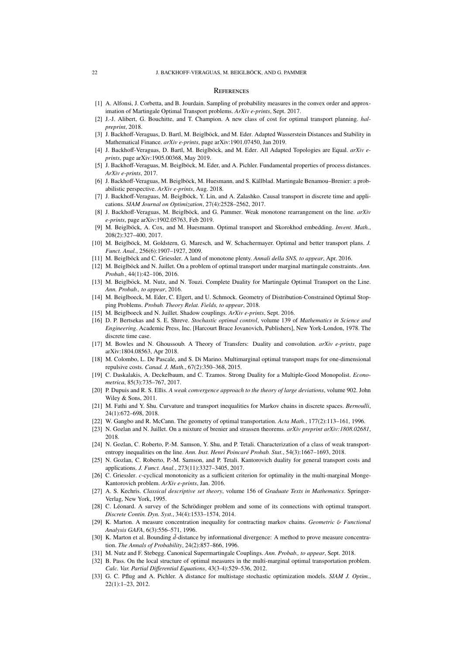#### **REFERENCES**

- <span id="page-21-7"></span>[1] A. Alfonsi, J. Corbetta, and B. Jourdain. Sampling of probability measures in the convex order and approximation of Martingale Optimal Transport problems. *ArXiv e-prints*, Sept. 2017.
- <span id="page-21-8"></span>[2] J.-J. Alibert, G. Bouchitte, and T. Champion. A new class of cost for optimal transport planning. *halpreprint*, 2018.
- <span id="page-21-11"></span>[3] J. Backhoff-Veraguas, D. Bartl, M. Beiglböck, and M. Eder. Adapted Wasserstein Distances and Stability in Mathematical Finance. *arXiv e-prints*, page arXiv:1901.07450, Jan 2019.
- <span id="page-21-17"></span>[4] J. Backhoff-Veraguas, D. Bartl, M. Beiglböck, and M. Eder. All Adapted Topologies are Equal. arXiv e*prints*, page arXiv:1905.00368, May 2019.
- <span id="page-21-16"></span>[5] J. Backhoff-Veraguas, M. Beiglböck, M. Eder, and A. Pichler. Fundamental properties of process distances. *ArXiv e-prints*, 2017.
- <span id="page-21-10"></span>[6] J. Backhoff-Veraguas, M. Beiglböck, M. Huesmann, and S. Källblad. Martingale Benamou–Brenier: a probabilistic perspective. *ArXiv e-prints*, Aug. 2018.
- <span id="page-21-6"></span>[7] J. Backhoff-Veraguas, M. Beiglböck, Y. Lin, and A. Zalashko. Causal transport in discrete time and applications. *SIAM Journal on Optimization*, 27(4):2528–2562, 2017.
- <span id="page-21-32"></span>[8] J. Backhoff-Veraguas, M. Beiglböck, and G. Pammer. Weak monotone rearrangement on the line. *arXiv e-prints*, page arXiv:1902.05763, Feb 2019.
- <span id="page-21-27"></span>[9] M. Beiglböck, A. Cox, and M. Huesmann. Optimal transport and Skorokhod embedding. Invent. Math., 208(2):327–400, 2017.
- <span id="page-21-30"></span>[10] M. Beiglböck, M. Goldstern, G. Maresch, and W. Schachermayer. Optimal and better transport plans. *J. Funct. Anal.*, 256(6):1907–1927, 2009.
- <span id="page-21-23"></span>[11] M. Beiglböck and C. Griessler. A land of monotone plenty. Annali della SNS, to appear, Apr. 2016.
- <span id="page-21-24"></span>[12] M. Beiglböck and N. Juillet. On a problem of optimal transport under marginal martingale constraints. Ann. *Probab.*, 44(1):42–106, 2016.
- <span id="page-21-26"></span>[13] M. Beiglböck, M. Nutz, and N. Touzi. Complete Duality for Martingale Optimal Transport on the Line. *Ann. Probab., to appear*, 2016.
- <span id="page-21-28"></span>[14] M. Beiglboeck, M. Eder, C. Elgert, and U. Schmock. Geometry of Distribution-Constrained Optimal Stopping Problems. *Probab. Theory Relat. Fields, to appear*, 2018.
- <span id="page-21-9"></span>[15] M. Beiglboeck and N. Juillet. Shadow couplings. *ArXiv e-prints*, Sept. 2016.
- <span id="page-21-18"></span>[16] D. P. Bertsekas and S. E. Shreve. *Stochastic optimal control*, volume 139 of *Mathematics in Science and Engineering*. Academic Press, Inc. [Harcourt Brace Jovanovich, Publishers], New York-London, 1978. The discrete time case.
- <span id="page-21-13"></span>[17] M. Bowles and N. Ghoussoub. A Theory of Transfers: Duality and convolution. *arXiv e-prints*, page arXiv:1804.08563, Apr 2018.
- <span id="page-21-21"></span>[18] M. Colombo, L. De Pascale, and S. Di Marino. Multimarginal optimal transport maps for one-dimensional repulsive costs. *Canad. J. Math.*, 67(2):350–368, 2015.
- <span id="page-21-12"></span>[19] C. Daskalakis, A. Deckelbaum, and C. Tzamos. Strong Duality for a Multiple-Good Monopolist. *Econometrica*, 85(3):735–767, 2017.
- <span id="page-21-29"></span>[20] P. Dupuis and R. S. Ellis. *A weak convergence approach to the theory of large deviations*, volume 902. John Wiley & Sons, 2011.
- <span id="page-21-5"></span>[21] M. Fathi and Y. Shu. Curvature and transport inequalities for Markov chains in discrete spaces. *Bernoulli*, 24(1):672–698, 2018.
- <span id="page-21-19"></span>[22] W. Gangbo and R. McCann. The geometry of optimal transportation. *Acta Math.*, 177(2):113–161, 1996.
- <span id="page-21-1"></span>[23] N. Gozlan and N. Juillet. On a mixture of brenier and strassen theorems. *arXiv preprint arXiv:1808.02681*, 2018.
- <span id="page-21-2"></span>[24] N. Gozlan, C. Roberto, P.-M. Samson, Y. Shu, and P. Tetali. Characterization of a class of weak transportentropy inequalities on the line. *Ann. Inst. Henri Poincaré Probab. Stat.*, 54(3):1667–1693, 2018.
- <span id="page-21-0"></span>[25] N. Gozlan, C. Roberto, P.-M. Samson, and P. Tetali. Kantorovich duality for general transport costs and applications. *J. Funct. Anal.*, 273(11):3327–3405, 2017.
- <span id="page-21-22"></span>[26] C. Griessler. *c*-cyclical monotonicity as a sufficient criterion for optimality in the multi-marginal Monge-Kantorovich problem. *ArXiv e-prints*, Jan. 2016.
- <span id="page-21-31"></span>[27] A. S. Kechris. *Classical descriptive set theory*, volume 156 of *Graduate Texts in Mathematics*. Springer-Verlag, New York, 1995.
- <span id="page-21-14"></span>[28] C. Léonard. A survey of the Schrödinger problem and some of its connections with optimal transport. *Discrete Contin. Dyn. Syst.*, 34(4):1533–1574, 2014.
- <span id="page-21-4"></span>[29] K. Marton. A measure concentration inequality for contracting markov chains. *Geometric* & *Functional Analysis GAFA*, 6(3):556–571, 1996.
- <span id="page-21-3"></span>[30] K. Marton et al. Bounding  $\bar{d}$ -distance by informational divergence: A method to prove measure concentration. *The Annals of Probability*, 24(2):857–866, 1996.
- <span id="page-21-25"></span>[31] M. Nutz and F. Stebegg. Canonical Supermartingale Couplings. *Ann. Probab., to appear*, Sept. 2018.
- <span id="page-21-20"></span>[32] B. Pass. On the local structure of optimal measures in the multi-marginal optimal transportation problem. *Calc. Var. Partial Di*ff*erential Equations*, 43(3-4):529–536, 2012.
- <span id="page-21-15"></span>[33] G. C. Pflug and A. Pichler. A distance for multistage stochastic optimization models. *SIAM J. Optim.*, 22(1):1–23, 2012.